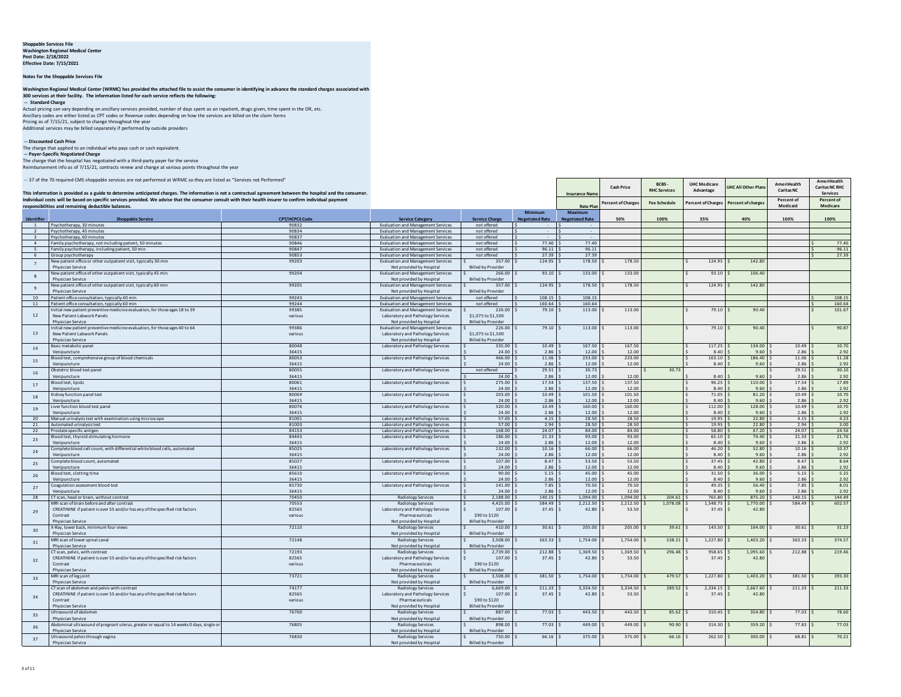## **Shoppable Services File Washington Regional Medical Center Post Date: 2/18/2022 Effective Date: 7/15/2021**

**Notes for the Shoppable Services File**

Washington Regional Medical Center (WRMC) has provided the attached file to assist the consumer in identifying in advance the standard charges associated with<br>300 services at their facility. The information listed for each  **-- Standard Charge**

Actual pricing can vary depending on ancillary services provided, number of days spent as an inpatient, drugs given, time spent in the OR, etc.<br>Ancillary codes are either listed as CPT codes or Revenue codes depending on h Additional services may be billed separately if performed by outside providers

 **-- Discounted Cash Price**  The charge that applied to an individual who pays cash or cash equivalent.  **-- Payer-Specific Negotiated Charge**

The charge that the hospital has negotiated with a third-party payer for the service Reimbursement info as of 7/15/21, contracts renew and change at various points throughout the year

-- 37 of the 70 required CMS shoppable services are not performed at WRMC so they are listed as "Services not Performed"

|                                  | -- 37 of the 70 required CMS shoppable services are not performed at WRMC so they are listed as "Services not Performed"<br>This information is provided as a guide to determine anticipated charges. The information is not a contractual agreement between the hospital and the consumer. |                       |                                                                                        |                                           | <b>Insurance Nam</b>              | Cash Price                        | BCBS-<br><b>RHC Services</b> | <b>UHC Medicare</b><br>Advantage | JHC All Other Plan        | <b>AmeriHealth</b><br><b>Caritas NC</b> | <b>AmeriHealth</b><br><b>Caritas NC RHC</b><br><b>Services</b> |                        |
|----------------------------------|---------------------------------------------------------------------------------------------------------------------------------------------------------------------------------------------------------------------------------------------------------------------------------------------|-----------------------|----------------------------------------------------------------------------------------|-------------------------------------------|-----------------------------------|-----------------------------------|------------------------------|----------------------------------|---------------------------|-----------------------------------------|----------------------------------------------------------------|------------------------|
|                                  | Individual costs will be based on specific services provided. We advise that the consumer consult with their health insurer to confirm individual payment<br>responsibilities and remaining deductible balances.                                                                            |                       |                                                                                        |                                           |                                   | <b>Rate Play</b>                  | <b>Percent of Charge</b>     | <b>Fee Schedule</b>              | <b>Percent of Charges</b> | Percent of charge:                      | Percent of<br>Medicaid                                         | Percent of<br>Medicare |
| Identifier                       | <b>Shoppable Service</b>                                                                                                                                                                                                                                                                    | <b>CPT/HCPCS Code</b> | <b>Service Category</b>                                                                | <b>Service Charge</b>                     | Minimum<br><b>Negotiated Rate</b> | Maximum<br><b>Negotiated Rate</b> | 50%                          | 100%                             | 35%                       | 40%                                     | 100%                                                           | 100%                   |
| $\blacksquare$<br>$\overline{2}$ | Psychotherapy, 30 minutes<br>Psychotherapy, 45 minutes                                                                                                                                                                                                                                      | 90832<br>90834        | <b>Evaluation and Management Services</b><br><b>Evaluation and Management Services</b> | not offered<br>not offered                |                                   |                                   |                              |                                  |                           |                                         |                                                                |                        |
| -31                              | Psychotherapy, 60 minutes                                                                                                                                                                                                                                                                   | 90837                 | <b>Evaluation and Management Services</b>                                              | not offered                               |                                   |                                   |                              |                                  |                           |                                         |                                                                |                        |
| $\overline{a}$                   | Family psychotherapy, not including patient, 50 minutes                                                                                                                                                                                                                                     | 90846                 | <b>Evaluation and Management Services</b>                                              | not offered                               | 77.40                             | 77.40                             |                              |                                  |                           |                                         |                                                                | 77.40                  |
| $-5$                             | Family psychotherapy, including patient, 50 min                                                                                                                                                                                                                                             | 90847                 | <b>Evaluation and Management Services</b>                                              | not offered                               | 96.11 5                           | 96.11                             |                              |                                  |                           |                                         |                                                                | 96.11                  |
| 6                                | Group psychotherapy<br>New patient office or other outpatient visit, typically 30 min                                                                                                                                                                                                       | 90853<br>99203        | <b>Evaluation and Management Services</b><br><b>Evaluation and Management Services</b> | not offered<br>357.00 \$                  | 27.39 \$<br>124.95                | 27.39<br>178.50                   | 178.50                       |                                  | 124.95                    | 142.80                                  |                                                                | 27.39                  |
| $\overline{7}$                   | <b>Physician Service</b>                                                                                                                                                                                                                                                                    |                       | Not provided by Hospital                                                               | <b>Billed by Provider</b>                 |                                   |                                   |                              |                                  |                           |                                         |                                                                |                        |
| $\mathbf{R}$                     | New patient office of other outpatient visit, typically 45 min                                                                                                                                                                                                                              | 99204                 | <b>Evaluation and Management Services</b>                                              | 266.00                                    | 93.10                             | 133.00                            | 133.00                       |                                  | 93.10                     | 106.40                                  |                                                                |                        |
|                                  | <b>Physician Service</b>                                                                                                                                                                                                                                                                    |                       | Not provided by Hospital                                                               | <b>Billed by Provider</b>                 |                                   |                                   |                              |                                  |                           |                                         |                                                                |                        |
| $\mathbf{q}$                     | New patient office of other outpatient visit, typically 60 min<br>Physician Service                                                                                                                                                                                                         | 99205                 | <b>Evaluation and Management Services</b><br>Not provided by Hospital                  | 357.00<br><b>Billed by Provider</b>       | 124.95                            | 178.50                            | 178.50                       |                                  | 124.95                    | 142.80                                  |                                                                |                        |
| 10                               | Patient office consultation, typically 40 min                                                                                                                                                                                                                                               | 99243                 | <b>Evaluation and Management Services</b>                                              | not offered                               | 108.15                            | 108.15                            |                              |                                  |                           |                                         |                                                                | 108.15                 |
| 11                               | Patient office consultation, typically 60 min                                                                                                                                                                                                                                               | 99244                 | <b>Evaluation and Management Services</b>                                              | not offered                               | 160.64                            | 160.64                            |                              |                                  |                           |                                         |                                                                | 160.64                 |
|                                  | nitial new patient preventive medicine evaluation, for those ages 18 to 39                                                                                                                                                                                                                  | 99385                 | <b>Evaluation and Management Services</b>                                              | 226.00                                    | 79.10                             | 113.00                            | 113.00                       |                                  | 79.10                     | 90.40                                   |                                                                | 101.67                 |
| 12                               | New Patient Labwork Panels                                                                                                                                                                                                                                                                  | various               | Laboratory and Pathology Services                                                      | \$1,075 to \$1,500                        |                                   |                                   |                              |                                  |                           |                                         |                                                                |                        |
|                                  | <b>Physician Service</b>                                                                                                                                                                                                                                                                    |                       | Not provided by Hospital                                                               | <b>Billed by Provider</b>                 |                                   |                                   |                              |                                  |                           |                                         |                                                                |                        |
| 13                               | nitial new patient preventive medicine evaluation, for those ages 40 to 64<br>New Patient Labwork Panels                                                                                                                                                                                    | 99386<br>various      | <b>Evaluation and Management Services</b><br>Laboratory and Pathology Services         | 226.00<br>\$1,075 to \$1,500              | 79.10                             | 113.00                            | 113.00                       |                                  | 79.10                     | 90.40                                   |                                                                | 90.87                  |
|                                  | Physician Service                                                                                                                                                                                                                                                                           |                       | Not provided by Hospital                                                               | <b>Billed by Provider</b>                 |                                   |                                   |                              |                                  |                           |                                         |                                                                |                        |
| 14                               | Basic metabolic panel                                                                                                                                                                                                                                                                       | 80048                 | Laboratory and Pathology Services                                                      | 335.00                                    | 10.49                             | 167.50                            | 167.50                       |                                  | 117.25                    | 134.00                                  | 10.49                                                          | 10.70                  |
|                                  | Venipuncture                                                                                                                                                                                                                                                                                | 36415                 |                                                                                        | 24.00                                     | 2.86                              | 12.00                             | 12.00                        |                                  | 8.40                      | 9.60                                    | 2.86                                                           | 2.92                   |
| 15                               | Blood test, comprehensive group of blood chemicals                                                                                                                                                                                                                                          | 80053                 | Laboratory and Pathology Services                                                      | 466.00 S                                  | 11.06                             | 233.00                            | 233.00                       |                                  | 163.10                    | 186.40                                  | 11.06                                                          | 11.28                  |
|                                  | Venipuncture                                                                                                                                                                                                                                                                                | 36415                 |                                                                                        | 24.00S<br>not offered                     | 2.86<br>29.51<br>Is.              | 12.00<br>30.73                    | 12.00                        | 30.73                            | 8.40                      | 9.60                                    | 2.86<br>29.51                                                  | 2.92<br>30.10          |
| 16                               | Obstetric blood test panel<br>Venipuncture                                                                                                                                                                                                                                                  | 80055<br>36415        | Laboratory and Pathology Services                                                      | 24.00 \$                                  | 2.86                              | 12.00                             | 12.00                        |                                  | 8.40                      | 9.60                                    | 2.86                                                           | 2.92                   |
| 17                               | Blood test, lipids                                                                                                                                                                                                                                                                          | 80061                 | Laboratory and Pathology Services                                                      | $275.00$ \$                               | 17.54                             | 137.50                            | 137.50                       |                                  | 96.25                     | 110.00                                  | 17.54                                                          | 17.89                  |
|                                  | Venipuncture                                                                                                                                                                                                                                                                                | 36415                 |                                                                                        | $24.00$ \$                                | 2.86                              | 12.00                             | 12.00                        |                                  | 8.40                      | 9.60                                    | 2.86                                                           | 2.92                   |
| 18                               | Kidney function panel test                                                                                                                                                                                                                                                                  | 80069                 | Laboratory and Pathology Services                                                      | $203.00$ S                                | 10.49                             | 101.50                            | 101.50                       |                                  | 71.05                     | 81.20                                   | 10.49                                                          | 10.70                  |
|                                  | Venipuncture                                                                                                                                                                                                                                                                                | 36415                 |                                                                                        | $24.00$ :                                 | 2.86                              | 12.00                             | 12.00                        |                                  | 8.40                      | 9.60                                    | 2.86                                                           | 2.92                   |
| 19                               | liver function blood test nanel<br>Venipuncture                                                                                                                                                                                                                                             | 80076<br>36415        | Laboratory and Pathology Services                                                      | $320.00$ S<br>24.00                       | 10.49<br>2.86                     | 160.00<br>12.00                   | 160.00<br>12.00              |                                  | 112.00<br>8.40            | 128.00<br>9.60                          | 10.49<br>2.86                                                  | 10.70<br>2.92          |
| 20                               | Manual urinalysis test with examination using microscope                                                                                                                                                                                                                                    | 81001                 | Laboratory and Pathology Services                                                      | $57.00$ \$                                | 4.15                              | 28.50                             | 28.50                        |                                  | 19.95                     | 22.80                                   | 4.15                                                           | 4.23                   |
| 21                               | Automated urinalysis test                                                                                                                                                                                                                                                                   | 81003                 | Laboratory and Pathology Services                                                      | 57.00                                     | 2.94                              | 28.50                             | 28.50                        |                                  | 19.95                     | 22.80                                   | 2.94                                                           | 3.00                   |
| 22                               | Prostate specific antigen                                                                                                                                                                                                                                                                   | 84153                 | Laboratory and Pathology Services                                                      | 168.00                                    | 24.07                             | 84.00                             | 84.00                        |                                  | 58.80                     | 67.20                                   | 24.07                                                          | 24.56                  |
| 23                               | slood test, thyroid stimulating hormone                                                                                                                                                                                                                                                     | 84443<br>36415        | Laboratory and Pathology Services                                                      | 186.00 \$<br>24.00                        | 21.33<br>2.86                     | 93.00                             | 93.00                        |                                  | 65.10<br>8.40             | 74.40<br>9.60                           | 21.33<br>2.86                                                  | 21.76                  |
|                                  | Veninuncture<br>Complete blood cell count, with differential white blood cells, automated                                                                                                                                                                                                   | 85025                 | Laboratory and Pathology Services                                                      | 132.00 \$                                 | 10.16                             | 12.00<br>66.00                    | 12.00<br>66.00               |                                  | 46.20                     | 52.80                                   | 10.16                                                          | 2.92<br>10.37          |
| 24                               | Venipuncture                                                                                                                                                                                                                                                                                | 36415                 |                                                                                        | 24.00 S                                   | 2.86                              | 12.00                             | 12.00                        |                                  | 8.40                      | 9.60                                    | 2.86                                                           | 2.92                   |
| 25                               | Complete blood count, automated                                                                                                                                                                                                                                                             | 85027                 | Laboratory and Pathology Services                                                      | 107.00 \$                                 | 8.47                              | 53.50                             | 53.50                        |                                  | 37.45                     | 42.80                                   | 8.47                                                           | 8.64                   |
|                                  | Venipuncture                                                                                                                                                                                                                                                                                | 36415                 |                                                                                        | 24.00S                                    | 2.86                              | 12.00                             | 12.00                        |                                  | 8.40                      | 9.60                                    | 2.86                                                           | 2.92                   |
| 26                               | Blood test, clotting time                                                                                                                                                                                                                                                                   | 85610<br>36415        | Laboratory and Pathology Services                                                      | $90.00$ \$                                | 5.15                              | 45.00                             | 45.00                        |                                  | 31.50<br>8.40             | 36.00                                   | 5.15                                                           | 5.25                   |
|                                  | Venipuncture<br>Coagulation assessment blood test                                                                                                                                                                                                                                           | 85730                 | Laboratory and Pathology Services                                                      | $24.00$ :<br>$141.00$ \$                  | 2.86<br>$7.85$ \$                 | 12.00<br>70.50                    | 12.00<br>70.50               |                                  | 49.35                     | 9.60<br>56.40                           | 2.86<br>7.85                                                   | 2.92<br>8.01           |
| 27                               | Venipuncture                                                                                                                                                                                                                                                                                | 36415                 |                                                                                        | 24.00 \$                                  | 2.86                              | 12.00                             | 12.00                        |                                  | 8.40                      | 9.60                                    | 2.86                                                           | 2.92                   |
| 28                               | CT scan, head or brain, without contrast                                                                                                                                                                                                                                                    | 70450                 | <b>Radiology Services</b>                                                              | $2,188.00$ \$                             | $140.15$ \$                       | 1,094.00                          | 1,094.00                     | 204.61                           | 765.80                    | 875.20                                  | 140.15                                                         | 144.49                 |
|                                  | MRI scan of brain before and after contras                                                                                                                                                                                                                                                  | 70553                 | <b>Radiology Services</b>                                                              | $4.425.00$ S                              | 584.49                            | 2,212.50                          | 2,212.50                     | 1,078.08                         | 1,548.75                  | 1,770.00                                | 584.49                                                         | 602.57                 |
| 29                               | CREATININE if patient is over 55 and/or has any of the specified risk factors                                                                                                                                                                                                               | 82565                 | Laboratory and Pathology Services                                                      | $107.00$ \$                               | 37.45                             | 42.80                             | 53.50                        |                                  | 37.45                     | 42.80                                   |                                                                |                        |
|                                  | Contrast<br>Physician Service                                                                                                                                                                                                                                                               | various               | Pharmaceuticals<br>Not provided by Hospital                                            | \$90 to \$120<br><b>Billed by Provide</b> |                                   |                                   |                              |                                  |                           |                                         |                                                                |                        |
| 30                               | -Ray, lower back, minimum four views                                                                                                                                                                                                                                                        | 72110                 | <b>Radiology Services</b>                                                              | 410.00                                    | 30.61                             | 205.00                            | 205.00                       | 39.61                            | 143.50                    | 164.00                                  | 30.61                                                          | 31.23                  |
|                                  | Physician Service                                                                                                                                                                                                                                                                           |                       | Not provided by Hospital                                                               | <b>Billed by Provide</b>                  |                                   |                                   |                              |                                  |                           |                                         |                                                                |                        |
| 31                               | MRI scan of lower spinal canal                                                                                                                                                                                                                                                              | 72148                 | <b>Radiology Services</b>                                                              | 3.508.00                                  | 363.33                            | 1,754.00                          | 1,754.00                     | 538.21                           | 1,227.80                  | 1,403.20                                | 363.33                                                         | 374.57                 |
|                                  | <b>Physician Service</b><br>CT scan, pelvis, with contrast                                                                                                                                                                                                                                  | 72193                 | Not provided by Hospital<br><b>Radiology Services</b>                                  | <b>Billed by Provider</b><br>2.739.00     | 212.88                            | 1,369.50                          | 1,369.50                     | 296.48                           | 958.65                    | 1,095.60                                | 212.88                                                         | 219.46                 |
|                                  | CREATININE if patient is over 55 and/or has any of the specified risk factors                                                                                                                                                                                                               | 82565                 | Laboratory and Pathology Services                                                      | $107.00$ \$                               | 37.45                             | 42.80                             | 53.50                        |                                  | 37.45                     | 42.80                                   |                                                                |                        |
| 32                               | Contrast                                                                                                                                                                                                                                                                                    | various               | Pharmaceuticals                                                                        | \$90 to \$120                             |                                   |                                   |                              |                                  |                           |                                         |                                                                |                        |
|                                  | <b>Physician Service</b>                                                                                                                                                                                                                                                                    |                       | Not provided by Hospital                                                               | <b>Billed by Provider</b>                 |                                   |                                   |                              |                                  |                           |                                         |                                                                |                        |
| 33                               | MRI scan of leg joint                                                                                                                                                                                                                                                                       | 73721                 | <b>Radiology Services</b>                                                              | 3,508.00                                  | 381.50                            | 1,754.00                          | 1,754.00                     | 479.57                           | 1,227.80                  | 1,403.20                                | 381.50                                                         | 393.30                 |
|                                  | <b>Physician Service</b><br>CT scan of abdomen and pelvis with contrast                                                                                                                                                                                                                     | 74177                 | Not provided by Hospital<br><b>Radiology Services</b>                                  | <b>Billed by Provider</b><br>6,669.00     | 211.33                            | 3,334.50                          | 3,334.50                     | 289.52                           | 2,334.15                  | 2,667.60                                | 211.33                                                         | 211.33                 |
|                                  | CREATININE if patient is over 55 and/or has any of the specified risk factors                                                                                                                                                                                                               | 82565                 | Laboratory and Pathology Services                                                      | $107.00$ \$                               | 37.45                             | 42.80                             | 53.50                        |                                  | 37.45                     | 42.80                                   |                                                                |                        |
| 34                               | Contrast                                                                                                                                                                                                                                                                                    | various               | Pharmaceuticals                                                                        | \$90 to \$120                             |                                   |                                   |                              |                                  |                           |                                         |                                                                |                        |
|                                  | <b>Physician Service</b>                                                                                                                                                                                                                                                                    |                       | Not provided by Hospital                                                               | <b>Billed by Provider</b>                 |                                   |                                   |                              |                                  |                           |                                         |                                                                |                        |
| 35                               | Ultrasound of abdomen                                                                                                                                                                                                                                                                       | 76700                 | <b>Radiology Services</b>                                                              | 887.00                                    | 77.03                             | 443.50                            | 443.50                       | 85.62                            | 310.45                    | 354.80                                  | $77.03$ \$                                                     | 78.60                  |
|                                  | <b>Physician Service</b>                                                                                                                                                                                                                                                                    |                       | Not provided by Hospital                                                               | <b>Billed by Provider</b>                 |                                   |                                   |                              |                                  |                           |                                         |                                                                |                        |
| 36                               | Abdominal ultrasound of pregnant uterus, greater or equal to 14 weeks 0 days, single o<br><b>Physician Service</b>                                                                                                                                                                          | 76805                 | Radiology Services<br>Not provided by Hospital                                         | 898.00<br><b>Billed by Provider</b>       | 77.03                             | 449.00                            | 449.00                       | 90.90                            | 314.30                    | 359.20                                  | 77.83                                                          | 77.03                  |
|                                  | Ultrasound pelvis through vagina                                                                                                                                                                                                                                                            | 76830                 | <b>Radiology Services</b>                                                              | 750.00                                    | 66.16                             | 375.00                            | 375.00                       | 66.16                            | 262.50                    | 300.00                                  | 68.81                                                          | 70.21                  |
| 37                               | <b>Physician Service</b>                                                                                                                                                                                                                                                                    |                       | Not provided by Hospital                                                               | <b>Billed by Provider</b>                 |                                   |                                   |                              |                                  |                           |                                         |                                                                |                        |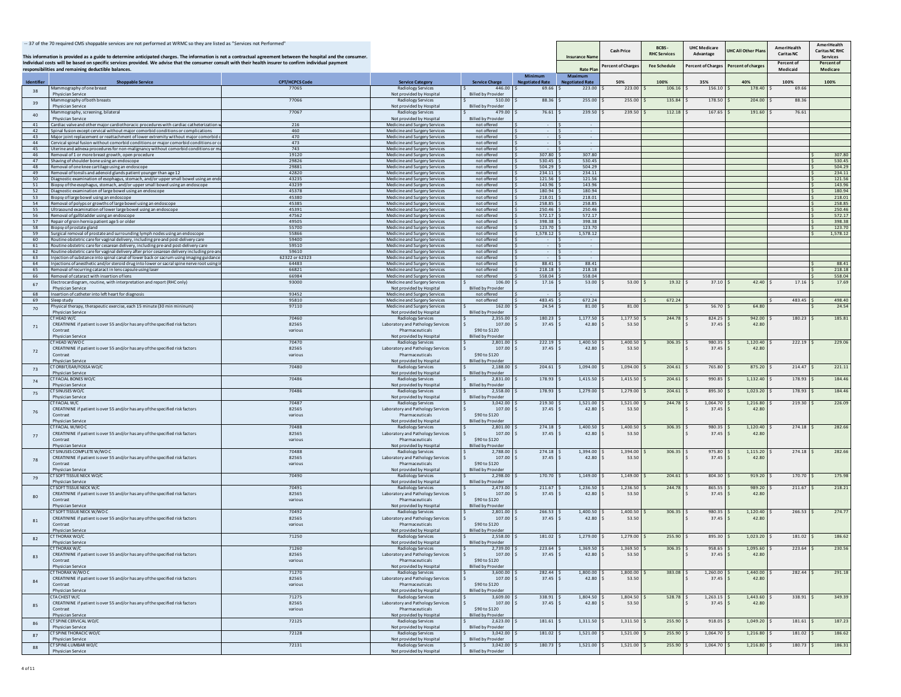|                   | -- 37 of the 70 required CMS shoppable services are not performed at WRMC so they are listed as "Services not Performed"<br>This information is provided as a guide to determine anticipated charges. The information is not a contractual agreement between the hospital and the consumer. |                       |                                                                |                                            |                                   | <b>Insurance Nam</b>                     | <b>Cash Price</b>  | BCBS<br><b>RHC Services</b> | <b>UHC Medicare</b><br>Advantage | <b>HC All Other Pla</b> | AmeriHealth<br><b>Caritas NC</b> | AmeriHealth<br>Caritas NC RHC<br><b>Services</b> |
|-------------------|---------------------------------------------------------------------------------------------------------------------------------------------------------------------------------------------------------------------------------------------------------------------------------------------|-----------------------|----------------------------------------------------------------|--------------------------------------------|-----------------------------------|------------------------------------------|--------------------|-----------------------------|----------------------------------|-------------------------|----------------------------------|--------------------------------------------------|
|                   | Individual costs will be based on specific services provided. We advise that the consumer consult with their health insurer to confirm individual payment<br>responsibilities and remaining deductible balances.                                                                            |                       |                                                                |                                            |                                   | <b>Rate Pla</b>                          | Percent of Charges | <b>Fee Schedule</b>         | Percent of Charges               | Percent of charge       | Percent of<br>Medicaid           | Percent of<br>Medicare                           |
| <b>Identifier</b> | <b>Shoppable Service</b>                                                                                                                                                                                                                                                                    | <b>CPT/HCPCS Code</b> | <b>Service Category</b>                                        | <b>Service Charge</b>                      | Minimum<br><b>Negotiated Rate</b> | <b>Maximum</b><br><b>Negotiated Rate</b> | 50%                | 100%                        | 35%                              | 40%                     | 100%                             | 100%                                             |
| 38                | lammography of one breast                                                                                                                                                                                                                                                                   | 77065                 | <b>Radiology Services</b>                                      | 446.00                                     | 69.66                             | 223.00                                   | 223.00             | 106.16                      | 156.10                           | 178.40                  | 69.66                            |                                                  |
| 39                | <b>Physician Service</b><br>Mammography of both breasts                                                                                                                                                                                                                                     | 77066                 | Not provided by Hospital<br><b>Radiology Services</b>          | <b>Billed by Provider</b><br>510.0         | 88.36                             | 255.00                                   | 255.00             | 135.84                      | 178.50                           | 204.0                   | 88.36                            |                                                  |
|                   | <b>Physician Service</b>                                                                                                                                                                                                                                                                    |                       | Not provided by Hospital<br><b>Radiology Services</b>          | <b>Billed by Provider</b>                  |                                   |                                          |                    |                             |                                  |                         |                                  |                                                  |
| 40                | Mammography, screening, bilateral<br>Physician Service                                                                                                                                                                                                                                      | 77067                 | Not provided by Hospital                                       | 479.0<br><b>Billed by Provider</b>         | 76.61                             | 239.50                                   | 239.50             | 112.18                      | 167.65                           | 191.60                  | 76.61                            |                                                  |
| 41<br>42          | Cardiac valve and other major cardiothoracic procedures with cardiac catheterization<br>Spinal fusion except cervical without major comorbid conditions or complications                                                                                                                    | 216<br>460            | Medicine and Surgery Services                                  | not offered<br>not offered                 |                                   |                                          |                    |                             |                                  |                         |                                  |                                                  |
| 43                | Major joint replacement or reattachment of lower extremity without major comorbid                                                                                                                                                                                                           | 470                   | Medicine and Surgery Services<br>Medicine and Surgery Services | not offered                                |                                   |                                          |                    |                             |                                  |                         |                                  |                                                  |
| 44                | ervical spinal fusion without comorbid conditions or maior comorbid conditions or                                                                                                                                                                                                           | 473                   | Medicine and Surgery Services                                  | not offered                                |                                   |                                          |                    |                             |                                  |                         |                                  |                                                  |
| 45<br>46          | Uterine and adnexa procedures for non-malignancy without comorbid conditions or m<br>Removal of 1 or more breast growth, open procedure                                                                                                                                                     | 743<br>19120          | Medicine and Surgery Services<br>Medicine and Surgery Services | not offered<br>not offered                 | 307.80                            | 307.80                                   |                    |                             |                                  |                         |                                  | 307.80                                           |
| 47                | Shaving of shoulder bone using an endoscope                                                                                                                                                                                                                                                 | 29826                 | Medicine and Surgery Services                                  | not offered                                | 530.45                            | 530.45                                   |                    |                             |                                  |                         |                                  | 530.45                                           |
| 48<br>49          | emoval of one knee cartilage using an endoscope<br>Removal of tonsils and adenoid glands patient vounger than age 12                                                                                                                                                                        | 29881<br>42820        | Medicine and Surgery Services<br>Medicine and Surgery Services | not offered<br>not offered                 | 504.29<br>234.11                  | 504.29<br>234.11                         |                    |                             |                                  |                         |                                  | 504.29<br>234.11                                 |
| 50                | Diagnostic examination of esophagus, stomach, and/or upper small bowel using an end                                                                                                                                                                                                         | 43235                 | Medicine and Surgery Services                                  | not offered                                | 121.56                            | 121.56                                   |                    |                             |                                  |                         |                                  | 121.56                                           |
| 51<br>52          | Biopsy of the esophagus, stomach, and/or upper small bowel using an endoscope<br>Diagnostic examination of large bowel using an endoscope                                                                                                                                                   | 43239<br>45378        | Medicine and Surgery Services<br>Medicine and Surgery Services | not offered<br>not offered                 | 143.96<br>180.94                  | 143.96<br>180.94                         |                    |                             |                                  |                         |                                  | 143.96<br>180.94                                 |
| 53                | Biopsy of large bowel using an endoscope                                                                                                                                                                                                                                                    | 45380                 | Medicine and Surgery Services                                  | not offered                                | 218.01                            | 218.01                                   |                    |                             |                                  |                         |                                  | 218.01                                           |
| 54<br>55          | emoval of polyps or growths of large bowel using an endoscope<br>Jltrasound examination of lower large bowel using an endoscope                                                                                                                                                             | 45385<br>45391        | Medicine and Surgery Services<br>Medicine and Surgery Services | not offered<br>not offered                 | 258.85<br>250.46                  | 258.85<br>250.46                         |                    |                             |                                  |                         |                                  | 258.85<br>250.46                                 |
| 56                | emoval of gallbladder using an endoscope                                                                                                                                                                                                                                                    | 47562                 | Medicine and Surgery Services                                  | not offered                                | 572.17                            | 572.17                                   |                    |                             |                                  |                         |                                  | 572.17                                           |
| 57<br>58          | Repair of groin hernia patient age 5 or older<br>Biopsy of prostate gland                                                                                                                                                                                                                   | 49505<br>55700        | Medicine and Surgery Services<br>Medicine and Surgery Services | not offered<br>not offered                 | 398.38<br>123.70                  | 398.38<br>123.70                         |                    |                             |                                  |                         |                                  | 398.38<br>123.70                                 |
| 59                | Surgical removal of prostate and surrounding lymph nodes using an endoscope                                                                                                                                                                                                                 | 55866                 | Medicine and Surgery Services                                  | not offered                                | 1,578.12                          | 1,578.12                                 |                    |                             |                                  |                         |                                  | 1,578.12                                         |
| 60<br>61          | Routine obstetric care for vaginal delivery, including pre-and post-delivery care                                                                                                                                                                                                           | 59400                 | Medicine and Surgery Services                                  | not offered                                |                                   |                                          |                    |                             |                                  |                         |                                  |                                                  |
| 62                | outine obstetric care for cesarean delivery, including pre-and post-delivery care<br>outine obstetric care for vaginal delivery after prior cesarean delivery including pre-a                                                                                                               | 59510<br>59610        | Medicine and Surgery Services<br>Medicine and Surgery Services | not offered<br>not offered                 |                                   |                                          |                    |                             |                                  |                         |                                  |                                                  |
| 63                | njection of substance into spinal canal of lower back or sacrum using imaging guidanc                                                                                                                                                                                                       | 62322 or 6232         | Medicine and Surgery Services                                  | not offered                                |                                   |                                          |                    |                             |                                  |                         |                                  | 88.41                                            |
| 64<br>65          | niections of anesthetic and/or steroid drug into lower or sacral spine nerve root using<br>emoval of recurring cataract in lens capsule using laser                                                                                                                                         | 64483<br>66821        | Medicine and Surgery Services<br>Medicine and Surgery Services | not offered<br>not offered                 | 88.41<br>218.18                   | 88.41<br>218.18                          |                    |                             |                                  |                         |                                  | 218.18                                           |
|                   | oval of cataract with insertion of lens                                                                                                                                                                                                                                                     | 66984                 | Medicine and Surgery Services                                  | not offe                                   | 558.04                            | 558.04                                   |                    |                             |                                  |                         |                                  | 558.04                                           |
| 67                | Electrocardiogram, routine, with interpretation and report (RHC only)<br>Physician Service                                                                                                                                                                                                  | 93000                 | Medicine and Surgery Services<br>Not provided by Hospital      | 106.00<br><b>Billed by Provider</b>        | 17.16                             | 53.00                                    | 53.00              | 19.32                       | 37.10                            | 42.40                   | 17.16                            | 17.69                                            |
| 68                | insertion of catheter into left heart for diagnosis                                                                                                                                                                                                                                         | 93452                 | Medicine and Surgery Services                                  | not offered                                |                                   |                                          |                    |                             |                                  |                         |                                  |                                                  |
| 69                | ileep study<br>hysical therapy, therapeutic exercise, each 15 minute (30 min mininum)                                                                                                                                                                                                       | 95810<br>97110        | Medicine and Surgery Services<br>Medicine and Surgery Services | not offe<br>162.00                         | 483.45<br>24.54                   | 672.24<br>81.00                          | 81.00              | 672.24                      | 56.70                            | 64.80                   | 483.45                           | 498.40<br>24.54                                  |
| 70                | Physician Service                                                                                                                                                                                                                                                                           |                       | Not provided by Hospital                                       | <b>Billed by Provider</b>                  |                                   |                                          |                    |                             |                                  |                         |                                  |                                                  |
|                   | THEAD W/C<br>CREATININE if patient is over 55 and/or has any of the specified risk factors                                                                                                                                                                                                  | 70460<br>82565        | <b>Radiology Services</b><br>Laboratory and Pathology Services | 2,355.00<br>107.00                         | 180.23<br>37.45                   | 1,177.50<br>42.80                        | 1,177.50<br>53.50  | 244.78                      | 824.25<br>37.45                  | 942.00<br>42.80         | 180.23                           | 185.81                                           |
| 71                | Contrast                                                                                                                                                                                                                                                                                    | various               | Pharmaceuticals                                                | \$90 to \$120                              |                                   |                                          |                    |                             |                                  |                         |                                  |                                                  |
|                   | <b>Physician Service</b>                                                                                                                                                                                                                                                                    |                       | Not provided by Hospital                                       | <b>Billed by Provider</b>                  |                                   |                                          |                    |                             |                                  |                         |                                  |                                                  |
|                   | THEAD W/WOC<br>CREATININE if patient is over 55 and/or has any of the specified risk factors                                                                                                                                                                                                | 70470<br>82565        | <b>Radiology Services</b><br>Laboratory and Pathology Services | 2,801.00<br>107.00                         | 222.19<br>37.45                   | 1,400.50<br>42.80<br>s                   | 1,400.50<br>53.50  | 306.35                      | 980.35<br>37.45                  | 1,120.40<br>42.80       | 222.19                           | 229.06                                           |
| 72                | Contrast                                                                                                                                                                                                                                                                                    | various               | Pharmaceuticals                                                | \$90 to \$120                              |                                   |                                          |                    |                             |                                  |                         |                                  |                                                  |
|                   | <b>Physician Service</b><br><b>TORBIT/EAR/FOSSAWO/C</b>                                                                                                                                                                                                                                     | 70480                 | Not provided by Hospital<br><b>Radiology Services</b>          | <b>Billed by Provide</b><br>2,188.0        | 204.61                            | 1,094.00                                 | 1,094.00           | 204.61                      | 765.80                           | 875.2                   | 214.47                           | 221.11                                           |
| 73                | Physician Service                                                                                                                                                                                                                                                                           |                       | Not provided by Hospital                                       | <b>Billed by Provider</b>                  |                                   |                                          |                    |                             |                                  |                         |                                  |                                                  |
| 74                | CT FACIAL BONES WO/C<br><b>Physician Service</b>                                                                                                                                                                                                                                            | 70486                 | <b>Radiology Services</b><br>Not provided by Hospital          | 2,831.00<br><b>Billed by Provide</b>       | 178.93                            | 1,415.50                                 | 1,415.50           | 204.61                      | 990.85                           | 1,132.40                | 178.93                           | 184.46                                           |
| 75                | <b>T SINUSES WO/C</b>                                                                                                                                                                                                                                                                       | 70486                 | <b>Radiology Services</b>                                      | 2,558.0                                    | 178.93                            | 1,279.00                                 | 1,279.00           | 204.61                      | 895.30                           | 1,023.20                | 178.93                           | 184.46                                           |
|                   | Physician Service<br>T FACIAL W/C                                                                                                                                                                                                                                                           | 70487                 | Not provided by Hospital<br><b>Radiology Services</b>          | <b>Billed by Provider</b><br>3.042.00      | 219.30                            | 1,521.00                                 | 1,521.00           | 244.78                      | 1,064.70                         | 1,216.80                | 219.30                           | 226.09                                           |
| 76                | CREATININE if patient is over 55 and/or has any of the specified risk factors                                                                                                                                                                                                               | 82565                 | Laboratory and Pathology Services                              | 107.00                                     | 37.45                             | 42.80                                    | 53.50              |                             | 37.45                            | 42.80                   |                                  |                                                  |
|                   | Contrast                                                                                                                                                                                                                                                                                    | various               | Pharmaceuticals                                                | \$90 to \$120                              |                                   |                                          |                    |                             |                                  |                         |                                  |                                                  |
|                   | Physician Service<br><b>TFACIAL W/WOC</b>                                                                                                                                                                                                                                                   | 70488                 | Not provided by Hospital<br>Radiology Services                 | <b>Billed by Provider</b><br>2.801.00      | 274.18                            | 1.400.50                                 | 1,400.50           | 306.35                      | 980.35                           | 1.120.40                | 274.18                           | 282.66                                           |
| 77                | CREATININE if patient is over 55 and/or has any of the specified risk factors                                                                                                                                                                                                               | 82565                 | Laboratory and Pathology Services                              | 107.00                                     | 37.45                             | 42.80                                    | 53.50              |                             | 37.45                            | 42.80                   |                                  |                                                  |
|                   | Contrast<br><b>Physician Service</b>                                                                                                                                                                                                                                                        | various               | Pharmaceuticals<br>Not provided by Hospital                    | \$90 to \$120<br><b>Billed by Provider</b> |                                   |                                          |                    |                             |                                  |                         |                                  |                                                  |
|                   | T SINUSES COMPLETE W/WO C                                                                                                                                                                                                                                                                   | 70488                 | <b>Radiology Services</b>                                      | 2.788.00                                   | 274.18                            | 1.394.00                                 | 1,394.00           | 306.35                      | 975.80                           | 1,115.20                | 274.18                           | 282.66                                           |
| 78                | CREATININE if patient is over 55 and/or has any of the specified risk factors<br>Contrast                                                                                                                                                                                                   | 82565<br>various      | Laboratory and Pathology Services<br>Pharmaceuticals           | 107.00<br>\$90 to \$120                    | 37.45                             | 42.80                                    | 53.50              |                             | 37.45                            | 42.80                   |                                  |                                                  |
|                   | <b>Physician Service</b>                                                                                                                                                                                                                                                                    |                       | Not provided by Hospital                                       | <b>Billed by Provide</b>                   |                                   |                                          |                    |                             |                                  |                         |                                  |                                                  |
| 79                | CT SOFT TISSUE NECK WO/C<br>Physician Service                                                                                                                                                                                                                                               | 70490                 | <b>Radiology Services</b>                                      | 2,298.00<br><b>Billed by Provider</b>      | 170.70                            | 1,149.00                                 | 1,149.00           | 204.61                      | 804.30                           | 919.20                  | 170.70                           | 175.98                                           |
|                   | CT SOFT TISSUE NECK W/C                                                                                                                                                                                                                                                                     | 70491                 | Not provided by Hospital<br><b>Radiology Services</b>          | 2,473.00                                   | 211.67                            | 1,236.50                                 | 1,236.50           | 244.78                      | 865.55                           | 989.20                  | 211.67                           | 218.21                                           |
| 80                | CREATININE if patient is over 55 and/or has any of the specified risk factors                                                                                                                                                                                                               | 82565                 | Laboratory and Pathology Services                              | 107.00                                     | 37.45                             | 42.80                                    | 53.50              |                             | 37.45                            | 42.80                   |                                  |                                                  |
|                   | Contrast<br><b>Physician Service</b>                                                                                                                                                                                                                                                        | various               | Pharmaceuticals<br>Not provided by Hospital                    | \$90 to \$120<br><b>Billed by Provider</b> |                                   |                                          |                    |                             |                                  |                         |                                  |                                                  |
|                   | <b>CT SOFT TISSUE NECK W/WO C</b>                                                                                                                                                                                                                                                           | 70492                 | <b>Radiology Services</b>                                      | 2,801.00                                   | 266.53                            | 1,400.50                                 | 1,400.50           | 306.35                      | 980.35                           | 1,120.40                | 266.53                           | 274.77                                           |
| 81                | CREATININE if patient is over 55 and/or has any of the specified risk factors<br>Contrast                                                                                                                                                                                                   | 82565<br>various      | Laboratory and Pathology Services<br>Pharmaceuticals           | 107.00<br>\$90 to \$120                    | 37.45                             | 42.80                                    | 53.50              |                             | 37.45                            | 42.80                   |                                  |                                                  |
|                   | <b>Physician Service</b>                                                                                                                                                                                                                                                                    |                       | Not provided by Hospita                                        | <b>Billed by Provide</b>                   |                                   |                                          |                    |                             |                                  |                         |                                  |                                                  |
| 82                | <b>CT THORAX WO/C</b><br>Physician Service                                                                                                                                                                                                                                                  | 71250                 | Radiology Services<br>Not provided by Hospital                 | 2.558.00<br><b>Billed by Provider</b>      | 181.02                            | 1,279.00                                 | 1,279.00           | 255.90                      | 895.30                           | 1,023.20                | 181.02                           | 186.62                                           |
|                   | T THORAX                                                                                                                                                                                                                                                                                    |                       |                                                                |                                            | 223.64                            | 369.5                                    |                    |                             |                                  |                         |                                  |                                                  |
| 83                | CREATININE if patient is over 55 and/or has any of the specified risk factors<br>Contrast                                                                                                                                                                                                   | 82565<br>various      | Laboratory and Pathology Services<br>Pharmaceuticals           | 107.00<br>\$90 to \$120                    | 37.45                             | 42.80                                    | 53.50              |                             | 37.45                            | 42.80                   |                                  |                                                  |
|                   | Physician Service                                                                                                                                                                                                                                                                           |                       | Not provided by Hospital                                       | <b>Billed by Provider</b>                  |                                   |                                          |                    |                             |                                  |                         |                                  |                                                  |
|                   | CT THORAX W/WO C                                                                                                                                                                                                                                                                            | 71270                 | Radiology Services                                             | 3,600.00                                   | 282.44                            | 1,800.00                                 | 1,800.00           | 383.08 \$                   | 1,260.00                         | 1,440.00                | 282.44                           | 291.18                                           |
| 84                | CREATININE if patient is over 55 and/or has any of the specified risk factors<br>Contrast                                                                                                                                                                                                   | 82565<br>various      | Laboratory and Pathology Services<br>Pharmaceuticals           | $107.00$ \$<br>\$90 to \$120               | $37.45$ \$                        | 42.80                                    | 53.50              |                             | 37.45                            | 42.80                   |                                  |                                                  |
|                   | Physician Service                                                                                                                                                                                                                                                                           |                       | Not provided by Hospital                                       | <b>Billed by Provider</b>                  |                                   |                                          |                    |                             |                                  |                         |                                  |                                                  |
|                   | <b>TA CHEST W/C</b><br>CREATININE if patient is over 55 and/or has any of the specified risk factors                                                                                                                                                                                        | 71275<br>82565        | <b>Radiology Services</b><br>Laboratory and Pathology Services | 3,609.00<br>107.00                         | 338.91<br>$37.45$ S               | 1,804.50<br>42.80                        | 1,804.50<br>53.50  | 528.78                      | 1,263.15<br>37.45                | 1,443.60<br>42.80<br>s. | 338.91                           | 349.39                                           |
| 85                | Contrast                                                                                                                                                                                                                                                                                    | various               | Pharmaceuticals                                                | \$90 to \$120                              |                                   |                                          |                    |                             |                                  |                         |                                  |                                                  |
|                   | <b>Physician Service</b><br><b>CT SPINE CERVICAL WO/C</b>                                                                                                                                                                                                                                   | 72125                 | Not provided by Hospital<br><b>Radiology Services</b>          | <b>Billed by Provider</b><br>2,623.0       | 181.61                            | 1,311.50                                 | 1,311.50           | 255.90                      | 918.05                           | 1,049.20                | 181.61                           | 187.23                                           |
| 86                | <b>Physician Service</b>                                                                                                                                                                                                                                                                    |                       | Not provided by Hospital                                       | <b>Billed by Provider</b>                  |                                   |                                          |                    |                             |                                  |                         |                                  |                                                  |
| 87                | <b>T SPINE THORACIC WO/C</b><br>Physician Service                                                                                                                                                                                                                                           | 72128                 | Radiology Services<br>Not provided by Hospital                 | 3,042.00<br><b>Billed by Provider</b>      | 181.02                            | 1,521.00                                 | 1,521.00           | 255.90                      | 1,064.70                         | 1,216.80                | 181.02                           | 186.62                                           |
| 88                | CT SPINE-LUMBAR WO/C                                                                                                                                                                                                                                                                        | 72131                 | Radiology Services                                             | 3,042.00                                   | 180.73                            | 1,521.00                                 | 1,521.00           | 255.90                      | 1,064.70                         | 1,216.80                | 180.73                           | 186.31                                           |
|                   | Physician Service                                                                                                                                                                                                                                                                           |                       | Not provided by Hospital                                       | <b>Billed by Provider</b>                  |                                   |                                          |                    |                             |                                  |                         |                                  |                                                  |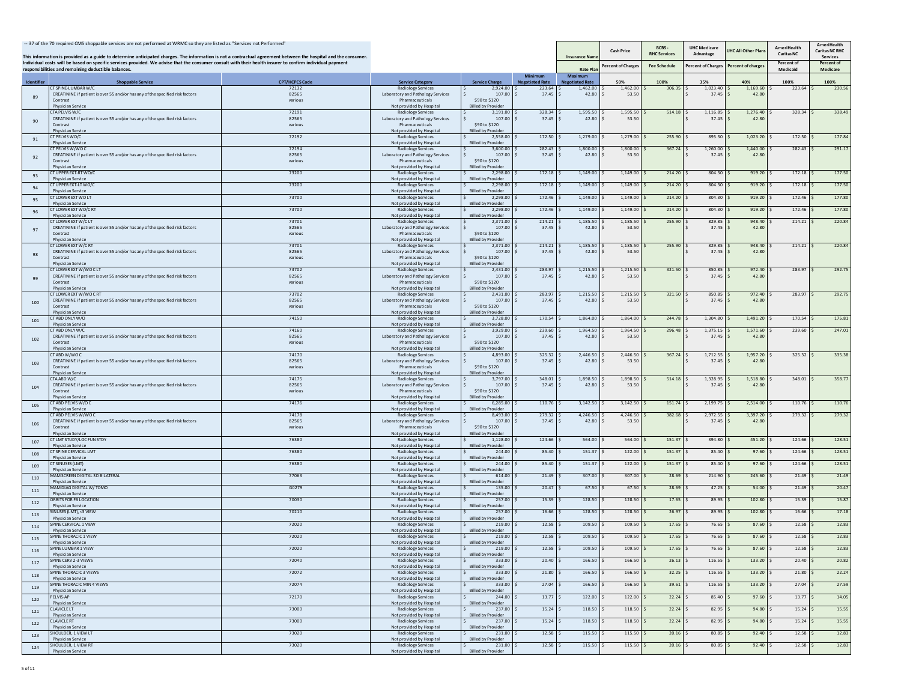|            | -- 37 of the 70 required CMS shoppable services are not performed at WRMC so they are listed as "Services not Performed"<br>This information is provided as a guide to determine anticipated charges. The information is not a contractual agreement between the hospital and the consumer. |                                |                                                                |                                            |                                  | <b>Insurance Nam</b>               | <b>Cash Price</b> | BCBS-<br><b>RHC Services</b> | <b>UHC Medicare</b><br>Advantage | JHC All Other Plar | AmeriHealth<br>Caritas NC | AmeriHealth<br><b>Caritas NC RHC</b><br><b>Services</b> |
|------------|---------------------------------------------------------------------------------------------------------------------------------------------------------------------------------------------------------------------------------------------------------------------------------------------|--------------------------------|----------------------------------------------------------------|--------------------------------------------|----------------------------------|------------------------------------|-------------------|------------------------------|----------------------------------|--------------------|---------------------------|---------------------------------------------------------|
|            | Individual costs will be based on specific services provided. We advise that the consumer consult with their health insurer to confirm individual payment<br>responsibilities and remaining deductible balances.                                                                            |                                |                                                                |                                            |                                  | <b>Rate Plan</b>                   | Percent of Charge | <b>Fee Schedule</b>          | Percent of Charges               | Percent of charge  | Percent of<br>Medicaid    | Percent of<br>Medicare                                  |
|            |                                                                                                                                                                                                                                                                                             |                                |                                                                |                                            | Minimum                          | Maximum                            |                   |                              |                                  |                    |                           |                                                         |
| Identifier | <b>Shoppable Service</b><br>T SPINE-LUMBAR W/C                                                                                                                                                                                                                                              | <b>CPT/HCPCS Code</b><br>72132 | <b>Service Category</b><br><b>Radiology Services</b>           | <b>Service Charge</b><br>2,924.00          | <b>Negotiated Rate</b><br>223.64 | <b>Negotiated Rate</b><br>1,462.00 | 50%<br>1,462.00   | 100%<br>306.35               | 35%<br>1,023.40                  | 40%<br>1,169.60    | 100%<br>223.64            | 100%<br>230.56                                          |
| 89         | CREATININE if patient is over 55 and/or has any of the specified risk factors<br>Contrast                                                                                                                                                                                                   | 82565<br>various               | Laboratory and Pathology Services<br>Pharmaceuticals           | 107.00<br>\$90 to \$120                    | 37.45                            | 42.80                              | 53.50             |                              | 37.45                            | 42.8               |                           |                                                         |
|            | <b>Physician Service</b>                                                                                                                                                                                                                                                                    |                                | Not provided by Hospital                                       | <b>Billed by Provider</b>                  |                                  |                                    |                   |                              |                                  |                    |                           |                                                         |
|            | TA PELVIS W/C<br>CREATININE if patient is over 55 and/or has any of the specified risk factors                                                                                                                                                                                              | 72191<br>82565                 | Radiology Services<br>Laboratory and Pathology Services        | 3,191.00<br>107.00                         | 328.34<br>37.45                  | 1,595.50<br>42.80                  | 1,595.50<br>53.50 | 514.18                       | 1,116.85<br>37.45                | 1,276.40<br>42.8   | 328.34                    | 338.49                                                  |
| 90         | Contrast<br><b>Physician Service</b>                                                                                                                                                                                                                                                        | various                        | Pharmaceuticals<br>Not provided by Hospital                    | \$90 to \$120<br><b>Billed by Provider</b> |                                  |                                    |                   |                              |                                  |                    |                           |                                                         |
| 91         | <b>T PELVIS WO/C</b>                                                                                                                                                                                                                                                                        | 72192                          | <b>Radiology Services</b>                                      | 2,558.00                                   | 172.50                           | 1,279.00                           | 1,279.00          | 255.90                       | 895.30                           | 1,023.20           | 172.50                    | 177.84                                                  |
|            | Physician Service<br>CT PELVIS W/WOC                                                                                                                                                                                                                                                        | 72194                          | Not provided by Hospital<br><b>Radiology Services</b>          | <b>Billed by Provider</b><br>3.600.00      | 282.43                           | 1,800.00                           | 1,800.00          | 367.24                       | 1,260.00                         | 1,440.00           | 282.43                    | 291.17                                                  |
| 92         | CREATININE if patient is over 55 and/or has any of the specified risk factors                                                                                                                                                                                                               | 82565                          | Laboratory and Pathology Services                              | 107.00 \$                                  | 37.45                            | 42.80                              | 53.50             |                              | 37.45                            | 42.80              |                           |                                                         |
|            | Contrast<br><b>Physician Service</b>                                                                                                                                                                                                                                                        | various                        | Pharmaceuticals<br>Not provided by Hospital                    | \$90 to \$120<br><b>Billed by Provide</b>  |                                  |                                    |                   |                              |                                  |                    |                           |                                                         |
| 93         | CT UPPER EXT-RT WO/C<br><b>Physician Service</b>                                                                                                                                                                                                                                            | 73200                          | Radiology Services<br>Not provided by Hospital                 | 2.298.00<br><b>Billed by Provider</b>      | 172.18                           | 1,149.00                           | 1.149.00          | 214.20                       | 804.30                           | 919.20             | 172.18                    | 177.50                                                  |
| 94         | CT UPPER EXT-LT WO/C                                                                                                                                                                                                                                                                        | 73200                          | <b>Radiology Services</b>                                      | 2,298.0                                    | 172.18                           | 1,149.00                           | 1,149.00          | 214.20                       | 804.30                           | 919.2              | 172.18                    | 177.50                                                  |
|            | Physician Service<br>CT LOWER EXT WO LT                                                                                                                                                                                                                                                     | 73700                          | Not provided by Hospital<br><b>Radiology Services</b>          | <b>Billed by Provider</b><br>2,298.0       | 172.46                           | 1,149.00                           | 1,149.00          | 214.20                       | 804.30                           | 919.20             | 172.46                    | 177.80                                                  |
| 95         | Physician Service<br>CT LOWER EXT WO/C RT                                                                                                                                                                                                                                                   | 73700                          | Not provided by Hospital                                       | <b>Billed by Provider</b><br>2,298.00      | 172.46                           | 1,149.00                           | 1,149.00          | 214.20                       | 804.30                           | 919.20             | 172.46                    | 177.80                                                  |
| 96         | <b>Physician Service</b>                                                                                                                                                                                                                                                                    |                                | <b>Radiology Services</b><br>Not provided by Hospital          | <b>Billed by Provider</b>                  |                                  |                                    |                   |                              |                                  |                    |                           |                                                         |
|            | CT LOWER EXT W/C LT<br>CREATININE if patient is over 55 and/or has any of the specified risk factors                                                                                                                                                                                        | 73701<br>82565                 | <b>Radiology Services</b><br>Laboratory and Pathology Services | 2,371.00<br>107.00                         | 214.21<br>37.45                  | 1,185.50<br>42.80                  | 1,185.50<br>53.50 | 255.90                       | 829.85<br>37.45                  | 948.40<br>42.8     | 214.21                    | 220.84                                                  |
| 97         | Contrast<br><b>Physician Service</b>                                                                                                                                                                                                                                                        | various                        | Pharmaceuticals<br>Not provided by Hospital                    | \$90 to \$120<br><b>Billed by Provider</b> |                                  |                                    |                   |                              |                                  |                    |                           |                                                         |
|            | T LOWER EXT W/C RT                                                                                                                                                                                                                                                                          | 73701                          | <b>Radiology Services</b>                                      | 2,371.00                                   | 214.21                           | 1,185.50                           | 1,185.50          | 255.90                       | 829.85                           | 948.40             | 214.21                    | 220.84                                                  |
| 98         | CREATININE if patient is over 55 and/or has any of the specified risk factors<br>Contrast                                                                                                                                                                                                   | 82565<br>various               | Laboratory and Pathology Services<br>Pharmaceuticals           | 107.00<br>\$90 to \$120                    | 37.45                            | 42.80                              | 53.50             |                              | 37.45                            | 42.8               |                           |                                                         |
|            | <b>Physician Service</b>                                                                                                                                                                                                                                                                    |                                | Not provided by Hospital                                       | <b>Billed by Provider</b>                  |                                  |                                    |                   |                              |                                  |                    |                           |                                                         |
| 99         | T LOWER EXT W/WOCLT<br>CREATININE if patient is over 55 and/or has any of the specified risk factors                                                                                                                                                                                        | 73702<br>82565                 | <b>Radiology Services</b><br>Laboratory and Pathology Services | 2,431.00<br>107.00                         | 283.97<br>37.45                  | 1,215.50<br>42.80                  | 1,215.50<br>53.50 | 321.50                       | 850.85<br>37.45                  | 972.40<br>42.80    | 283.97                    | 292.75                                                  |
|            | Contrast<br><b>Physician Service</b>                                                                                                                                                                                                                                                        | various                        | Pharmaceuticals<br>Not provided by Hospital                    | \$90 to \$120<br><b>Billed by Provider</b> |                                  |                                    |                   |                              |                                  |                    |                           |                                                         |
|            | <b>CT LOWER EXT W/WO C RT</b>                                                                                                                                                                                                                                                               | 73702                          | <b>Radiology Services</b>                                      | 2.431.00                                   | 283.97                           | 1,215.50                           | 1,215.50          | 321.50                       | 850.85                           | 972.40             | 283.97                    | 292.75                                                  |
| 100        | CREATININE if patient is over 55 and/or has any of the specified risk factors<br>Contrast                                                                                                                                                                                                   | 82565<br>various               | Laboratory and Pathology Services<br>Pharmaceuticals           | 107.00<br>\$90 to \$120                    | 37.45                            | 42.80                              | 53.50             |                              | 37.45                            | 42.80              |                           |                                                         |
|            | <b>Physician Service</b><br>CT ARD ONLY W/O                                                                                                                                                                                                                                                 |                                | Not provided by Hospital                                       | <b>Billed by Provider</b>                  |                                  |                                    |                   |                              |                                  |                    |                           |                                                         |
| 101        | Physician Service                                                                                                                                                                                                                                                                           | 74150                          | Radiology Services<br>Not provided by Hospital                 | 3,728.00<br><b>Billed by Provider</b>      | 170.54                           | 1,864.00                           | 1,864.00          | 244.78                       | 1,304.80                         | 1,491.20           | 170.54                    | 175.81                                                  |
|            | CT ARD ONLY W/C<br>CREATININE if patient is over 55 and/or has any of the specified risk factors                                                                                                                                                                                            | 74160<br>82565                 | <b>Radiology Services</b><br>Laboratory and Pathology Services | 3,929.00<br>107.00                         | 239.60<br>37.45                  | 1,964.50<br>42.80                  | 1,964.50<br>53.50 | 296.48                       | 1,375.15<br>37.45                | 1,571.60<br>42.80  | 239.60                    | 247.01                                                  |
| 102        | Contrast                                                                                                                                                                                                                                                                                    | various                        | Pharmaceuticals                                                | \$90 to \$120                              |                                  |                                    |                   |                              |                                  |                    |                           |                                                         |
|            | <b>Physician Service</b><br>CT ABD W/WO C                                                                                                                                                                                                                                                   | 74170                          | Not provided by Hospital<br><b>Radiology Services</b>          | <b>Billed by Provider</b><br>4,893.00      | 325.32                           | 2,446.50                           | 2,446.50          | 367.24                       | 1,712.55                         | 1,957.20           | 325.32                    | 335.38                                                  |
| 103        | CREATININE if patient is over 55 and/or has any of the specified risk factors<br>Contrast                                                                                                                                                                                                   | 82565<br>various               | Laboratory and Pathology Services<br>Pharmaceuticals           | 107.00<br>\$90 to \$120                    | 37.45                            | 42.80                              | 53.50             |                              | 37.45                            | 42.8               |                           |                                                         |
|            | Physician Service                                                                                                                                                                                                                                                                           |                                | Not provided by Hospital                                       | <b>Billed by Provide</b>                   |                                  |                                    |                   |                              |                                  |                    |                           |                                                         |
| 104        | TA ABD W/C<br>CREATININE if patient is over 55 and/or has any of the specified risk factors                                                                                                                                                                                                 | 74175<br>82565                 | <b>Radiology Services</b><br>Laboratory and Pathology Services | 3,797.00<br>107.00                         | 348.01<br>37.45                  | 1,898.50<br>42.80                  | 1,898.50<br>53.50 | 514.18                       | 1,328.95<br>37.45                | 1,518.80<br>42.8   | 348.01                    | 358.77                                                  |
|            | Contrast<br><b>Physician Service</b>                                                                                                                                                                                                                                                        | various                        | Pharmaceuticals<br>Not provided by Hospital                    | \$90 to \$120<br><b>Billed by Provider</b> |                                  |                                    |                   |                              |                                  |                    |                           |                                                         |
| 105        | <b>CT ABD PELVIS W/O C</b>                                                                                                                                                                                                                                                                  | 74176                          | <b>Radiology Services</b>                                      | 6,285.00                                   | 110.76                           | 3,142.50                           | 3,142.50          | 151.74                       | 2,199.75                         | 2,514.00           | 110.76                    | 110.76                                                  |
|            | <b>Physician Service</b><br>T ABD PELVIS W/WOC                                                                                                                                                                                                                                              | 74178                          | Not provided by Hospital<br><b>Radiology Services</b>          | <b>Billed by Provider</b><br>8,493.00      | 279.32                           | 4,246.50                           | 4,246.50          | 382.68                       | 2,972.55                         | 3,397.20           | 279.32                    | 279.32                                                  |
| 106        | CREATININE if patient is over 55 and/or has any of the specified risk factors<br>Contrast                                                                                                                                                                                                   | 82565<br>various               | Laboratory and Pathology Services<br>Pharmaceuticals           | 107.00<br>\$90 to \$120                    | 37.45                            | 42.80                              | 53.50             |                              | 37.45                            | 42.80              |                           |                                                         |
|            | Physician Service                                                                                                                                                                                                                                                                           |                                | Not provided by Hospital                                       | <b>Billed by Provider</b>                  |                                  |                                    |                   |                              |                                  |                    |                           |                                                         |
| 107        | CT LMT STUDY/LOC FUN STDY<br>Physician Service                                                                                                                                                                                                                                              | 76380                          | <b>Radiology Services</b><br>Not provided by Hospital          | 1,128.00<br><b>Billed by Provider</b>      | 124.66                           | 564.00                             | 564.00            | 151.37                       | 394.80                           | 451.20             | 124.66                    | 128.51                                                  |
| 108        | CT SPINE CERVICAL LMT                                                                                                                                                                                                                                                                       | 76380                          | Radiology Services                                             | 244.00                                     | 85.40                            | 151.37                             | 122.00            | 151.37                       | 85.40                            | 97.60              | 124.66                    | 128.51                                                  |
| 109        | Physician Service<br><b>CT SINUSES (LMT)</b>                                                                                                                                                                                                                                                | 76380                          | Not provided by Hospital<br><b>Radiology Services</b>          | <b>Billed by Provider</b><br>244.0         | 85.40                            | 151.37                             | 122.00            | 151.37                       | 85.40                            | 97.60              | 124.66                    | 128.51                                                  |
|            | <b>Physician Service</b><br>MAM SCREEN DIGITAL 3D BILATERAL                                                                                                                                                                                                                                 | 77063                          | Not provided by Hospital<br><b>Radiology Services</b>          | <b>Billed by Provider</b><br>614.00        | 21.49                            | 307.00                             | 307.00            | 28.69                        | 214.90                           | 245.60             | 21.49                     | 21.49                                                   |
| 110        | <b>Physician Service</b>                                                                                                                                                                                                                                                                    |                                | Not provided by Hospita                                        | <b>Billed by Provider</b>                  |                                  |                                    |                   |                              |                                  |                    |                           |                                                         |
| 111        | MAM DIAG DIGITAL W/TOMO<br><b>Physician Service</b>                                                                                                                                                                                                                                         | G0279                          | <b>Radiology Services</b><br>Not provided by Hospital          | 135.00<br><b>Billed by Provider</b>        | 20.47                            | 67.50                              | 67.50             | 28.69                        | 47.25                            | 54.00              | 21.49                     | 20.47                                                   |
| 112        | ORBITS FOR FB LOCATION<br><b>Physician Service</b>                                                                                                                                                                                                                                          | 70030                          | <b>Radiology Services</b><br>Not provided by Hospital          | 257.0<br><b>Billed by Provider</b>         | 15.39                            | 128.50                             | 128.50            | 17.65                        | 89.95                            | 102.80             | 15.39                     | 15.87                                                   |
| 113        | <b>SINUSES (LMT), &lt;3 VIEW</b>                                                                                                                                                                                                                                                            | 70210                          | <b>Radiology Services</b>                                      | 257.00                                     | 16.66                            | 128.50                             | 128.50            | 26.97                        | 89.95                            | 102.80             | 16.66                     | 17.18                                                   |
| 114        | <b>Physician Service</b><br>SPINE CERVICAL 1 VIEW                                                                                                                                                                                                                                           | 72020                          | Not provided by Hospita<br>Radiology Services                  | <b>Billed by Provider</b><br>219.0         | 12.58                            | 109.50                             | 109.50            | 17.65                        | 76.65                            | 87.60              | 12.58                     | 12.83                                                   |
|            | <b>Physician Service</b><br><b>SPINE THORACIC 1 VIEW</b>                                                                                                                                                                                                                                    | 72020                          | Not provided by Hospital<br>Radiology Services                 | <b>Billed by Provider</b><br>219.00        | 12.58                            | 109.50                             | 109.50            | 17.65                        | 76.65                            | 87.60              | 12.58                     | 12.83                                                   |
| 115        | <b>Physician Service</b>                                                                                                                                                                                                                                                                    |                                | Not provided by Hospita                                        | <b>Billed by Provider</b>                  |                                  |                                    |                   |                              |                                  |                    |                           |                                                         |
| 116        | Physician Service                                                                                                                                                                                                                                                                           |                                | Not provided by Hospital                                       | <b>Billed by Provider</b>                  |                                  |                                    |                   |                              |                                  |                    |                           |                                                         |
| 117        | SPINE CERV 2-3 VIEWS                                                                                                                                                                                                                                                                        | 72040                          | Radiology Services                                             | 333.00                                     | 20.40                            | 166.50                             | 166.50            | 26.13                        | 116.55                           | 133.20             | 20.40                     | 20.82                                                   |
| 118        | Physician Service<br>SPINE THORACIC 3 VIEWS                                                                                                                                                                                                                                                 | 72072                          | Not provided by Hospital<br>Radiology Services                 | <b>Billed by Provider</b><br>333.00        | 21.80                            | 166.50                             | 166.50            | 32.25                        | 116.55                           | 133.20             | 21.80                     | 22.24                                                   |
|            | Physician Service<br>SPINE THORACIC MIN 4 VIEWS                                                                                                                                                                                                                                             | 72074                          | Not provided by Hospital<br><b>Radiology Services</b>          | <b>Billed by Provider</b><br>333.00        | 27.04                            | 166.50                             | 166.50            | $39.61$ \$                   | 116.55                           | 133.20             | 27.04                     | 27.59                                                   |
| 119        | Physician Service                                                                                                                                                                                                                                                                           |                                | Not provided by Hospital                                       | <b>Billed by Provider</b>                  |                                  |                                    |                   |                              |                                  |                    |                           |                                                         |
| 120        | PELVIS-AP<br><b>Physician Service</b>                                                                                                                                                                                                                                                       | 72170                          | <b>Radiology Services</b><br>Not provided by Hospital          | 244.00<br><b>Billed by Provider</b>        | 13.77                            | 122.00                             | 122.00            | 22.24                        | 85.40                            | 97.60              | 13.77                     | 14.05                                                   |
| 121        | <b>CLAVICLE LT</b><br><b>Physician Service</b>                                                                                                                                                                                                                                              | 73000                          | <b>Radiology Services</b><br>Not provided by Hospital          | 237.00<br><b>Billed by Provider</b>        | 15.24                            | 118.50                             | 118.50            | 22.24                        | 82.95                            | 94.80              | 15.24                     | 15.55                                                   |
| 122        | <b>CLAVICLE RT</b>                                                                                                                                                                                                                                                                          | 73000                          | <b>Radiology Services</b>                                      | 237.00                                     | 15.24                            | 118.50                             | 118.50            | 22.24                        | 82.95                            | 94.80              | 15.24                     | 15.55                                                   |
| 123        | <b>Physician Service</b><br><b>SHOULDER, 1 VIEW LT</b>                                                                                                                                                                                                                                      | 73020                          | Not provided by Hospital<br>Radiology Services                 | <b>Billed by Provider</b><br>231.00        | 12.58                            | 115.50                             | 115.50            | 20.16                        | 80.85                            | 92.40              | 12.58                     | 12.83                                                   |
|            | <b>Physician Service</b><br>SHOULDER, 1 VIEW RT                                                                                                                                                                                                                                             | 73020                          | Not provided by Hospital<br>Radiology Services                 | <b>Billed by Provider</b><br>231.00        | 12.58                            | 115.50                             | 115.50            | 20.16                        | 80.85                            | 92.40              | 12.58                     | 12.83                                                   |
| 124        | Physician Service                                                                                                                                                                                                                                                                           |                                | Not provided by Hospital                                       | <b>Billed by Provider</b>                  |                                  |                                    |                   |                              |                                  |                    |                           |                                                         |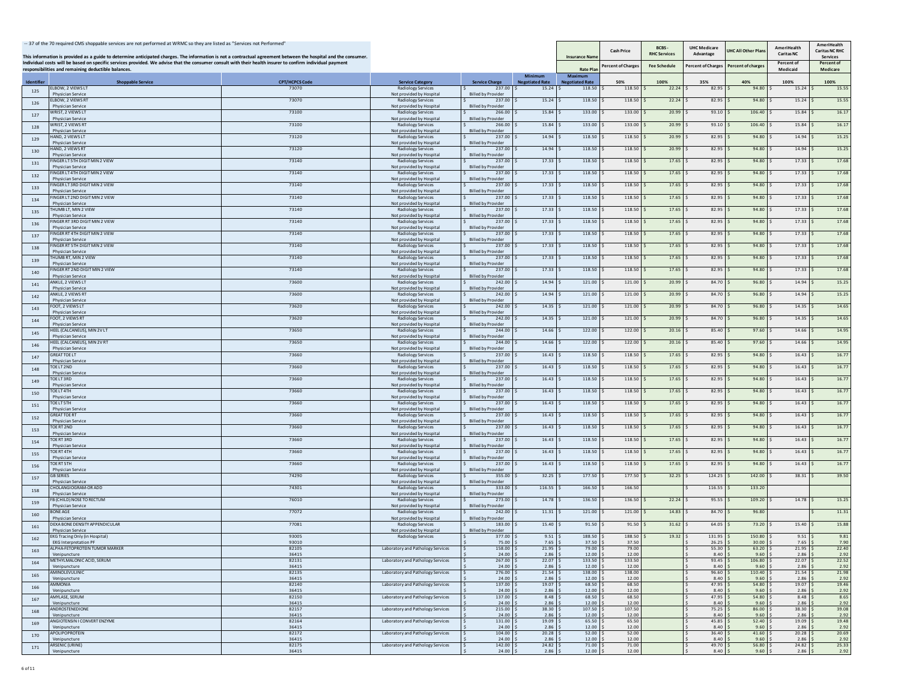|                          | -- 37 of the 70 required CMS shoppable services are not performed at WRMC so they are listed as "Services not Performed"<br>This information is provided as a guide to determine anticipated charges. The information is not a contractual agreement between the hospital and the consumer. |                                |                                                       |                                     |                                 | <b>Insurance Nam</b>             | <b>Cash Price</b> | BCBS-<br><b>RHC Services</b> | <b>UHC Medicare</b><br>Advantage | JHC All Other Pla | AmeriHealth<br><b>Caritas NC</b> | AmeriHealth<br><b>Caritas NC RHC</b><br>Services |
|--------------------------|---------------------------------------------------------------------------------------------------------------------------------------------------------------------------------------------------------------------------------------------------------------------------------------------|--------------------------------|-------------------------------------------------------|-------------------------------------|---------------------------------|----------------------------------|-------------------|------------------------------|----------------------------------|-------------------|----------------------------------|--------------------------------------------------|
|                          | Individual costs will be based on specific services provided. We advise that the consumer consult with their health insurer to confirm individual payment<br>responsibilities and remaining deductible balances.                                                                            |                                |                                                       |                                     |                                 | <b>Rate Pla</b>                  | ercent of Charge: | <b>Fee Schedule</b>          | Percent of Charges               | Percent of charge | Percent of<br>Medicaid           | Percent of<br>Medicare                           |
|                          |                                                                                                                                                                                                                                                                                             |                                |                                                       |                                     | Minimum                         | Maximum                          |                   |                              |                                  |                   |                                  |                                                  |
| <b>Identifier</b><br>125 | <b>Shoppable Service</b><br>ELBOW. 2 VIEWS LT                                                                                                                                                                                                                                               | <b>CPT/HCPCS Code</b><br>73070 | <b>Service Category</b><br><b>Radiology Services</b>  | <b>Service Charge</b><br>237.00 S   | <b>Negotiated Rate</b><br>15.24 | <b>Negotiated Rate</b><br>118.50 | 50%<br>118.50     | 100%<br>22.24                | 35%<br>82.95                     | 40%<br>94.80      | 100%<br>15.24                    | 100%<br>15.55                                    |
|                          | Physician Service<br>ELBOW, 2 VIEWS RT                                                                                                                                                                                                                                                      | 73070                          | Not provided by Hospital<br><b>Radiology Services</b> | <b>Billed by Provider</b><br>237.00 | 15.24                           | 118.50                           | 118.50            | 22.24                        | 82.95                            | 94.80             | 15.24                            | 15.55                                            |
| 126                      | Physician Service                                                                                                                                                                                                                                                                           |                                | Not provided by Hospital                              | <b>Billed by Provider</b>           |                                 |                                  |                   |                              |                                  |                   |                                  |                                                  |
| 127                      | WRIST, 2 VIEWS LT<br><b>Physician Service</b>                                                                                                                                                                                                                                               | 73100                          | <b>Radiology Services</b><br>Not provided by Hospital | 266.00<br><b>Billed by Provider</b> | 15.84                           | 133.00                           | 133.00            | 20.99                        | 93.10                            | 106.40            | 15.84                            | 16.17                                            |
| 128                      | WRIST, 2 VIEWS RT<br><b>Physician Service</b>                                                                                                                                                                                                                                               | 73100                          | <b>Radiology Services</b>                             | 266.00<br><b>Billed by Provider</b> | 15.84                           | 133.00                           | 133.00            | 20.99                        | 93.10                            | 106.40            | 15.84                            | 16.17                                            |
| 129                      | <b>IAND, 2 VIEWS LT</b>                                                                                                                                                                                                                                                                     | 73120                          | Not provided by Hospital<br><b>Radiology Services</b> | 237.00                              | 14.94                           | 118.50                           | 118.50            | 20.99                        | 82.95                            | 94.80             | 14.94                            | 15.25                                            |
|                          | <b>Physician Service</b><br><b>HAND, 2 VIEWS RT</b>                                                                                                                                                                                                                                         | 73120                          | Not provided by Hospital<br>Radiology Services        | <b>Billed by Provider</b><br>237.00 | 14.94                           | 118.50                           | 118.50            | 20.99                        | 82.95                            | 94.80             | 14.94                            | 15.25                                            |
| 130                      | <b>Physician Service</b>                                                                                                                                                                                                                                                                    |                                | Not provided by Hospital                              | <b>Billed by Provider</b>           |                                 |                                  |                   |                              |                                  |                   |                                  |                                                  |
| 131                      | INGER LT 5TH DIGIT MIN 2 VIEW<br><b>Physician Service</b>                                                                                                                                                                                                                                   | 73140                          | Radiology Services<br>Not provided by Hospital        | 237.00<br><b>Billed by Provider</b> | 17.33                           | 118.50                           | 118.50            | 17.65                        | 82.95                            | 94.80             | 17.33                            | 17.68                                            |
| 132                      | INGER LT 4TH DIGIT MIN 2 VIEW<br><b>Physician Service</b>                                                                                                                                                                                                                                   | 73140                          | <b>Radiology Services</b>                             | 237.0                               | 17.33                           | 118.50                           | 118.50            | 17.65                        | 82.95                            | 94.80             | 17.33                            | 17.68                                            |
| 133                      | INGER LT 3RD DIGIT MIN 2 VIEW                                                                                                                                                                                                                                                               | 73140                          | Not provided by Hospital<br>Radiology Services        | <b>Billed by Provider</b><br>237.00 | 17.33                           | 118.50                           | 118.50            | 17.65                        | 82.95                            | 94.80             | 17.33                            | 17.68                                            |
|                          | <b>Physician Service</b><br>FINGER LT 2ND DIGIT MIN 2 VIEW                                                                                                                                                                                                                                  | 73140                          | Not provided by Hospita<br><b>Radiology Services</b>  | <b>Billed by Provider</b><br>237.00 | 17.33                           | 118.50                           | 118.50            | 17.65                        | 82.95                            | 94.80             | 17.33                            | 17.68                                            |
| 134                      | <b>Physician Service</b>                                                                                                                                                                                                                                                                    |                                | Not provided by Hospital                              | <b>Billed by Provider</b>           |                                 |                                  |                   |                              |                                  |                   |                                  |                                                  |
| 135                      | <b>HUMB LT, MIN 2 VIEW</b><br>Physician Service                                                                                                                                                                                                                                             | 73140                          | <b>Radiology Services</b><br>Not provided by Hospital | 237.00<br><b>Billed by Provide</b>  | 17.33                           | 118.50                           | 118.50            | 17.65                        | 82.95                            | 94.80             | 17.33                            | 17.68                                            |
| 136                      | <b>INGER RT 3RD DIGIT MIN 2 VIEW</b>                                                                                                                                                                                                                                                        | 73140                          | <b>Radiology Services</b>                             | 237.00                              | 17.33                           | 118.50                           | 118.50            | 17.65                        | 82.95                            | 94.80             | 17.33                            | 17.68                                            |
| 137                      | Physician Service<br><b>INGER RT 4TH DIGIT MIN 2 VIEW</b>                                                                                                                                                                                                                                   | 73140                          | Not provided by Hospital<br><b>Radiology Services</b> | <b>Billed by Provider</b><br>237.00 | 17.33                           | 118.50                           | 118.50            | 17.65                        | 82.95                            | 94.80             | 17.33                            | 17.68                                            |
|                          | Physician Service<br>INGER RT 5TH DIGIT MIN 2 VIEW                                                                                                                                                                                                                                          | 73140                          | Not provided by Hospital<br><b>Radiology Services</b> | <b>Billed by Provider</b><br>237.00 | 17.33                           | 118.50                           | 118.50            | 17.65                        | 82.95                            | 94.80             | 17.33                            | 17.68                                            |
| 138                      | <b>Physician Service</b>                                                                                                                                                                                                                                                                    |                                | Not provided by Hospital                              | <b>Billed by Provider</b>           |                                 |                                  |                   |                              |                                  |                   |                                  |                                                  |
| 139                      | <b>HUMB RT, MIN 2 VIEW</b><br><b>Physician Service</b>                                                                                                                                                                                                                                      | 73140                          | <b>Radiology Services</b><br>Not provided by Hospital | 237.00<br><b>Billed by Provider</b> | 17.33                           | 118.50                           | 118.50            | 17.65                        | 82.95                            | 94.80             | 17.33                            | 17.68                                            |
| 140                      | INGER RT 2ND DIGIT MIN 2 VIEW                                                                                                                                                                                                                                                               | 73140                          | <b>Radiology Services</b>                             | 237.00                              | 17.33                           | 118.50                           | 118.50            | 17.65                        | 82.95                            | 94.80             | 17.33                            | 17.68                                            |
| 141                      | <b>Physician Service</b><br>ANKLE, 2 VIEWS LT                                                                                                                                                                                                                                               | 73600                          | Not provided by Hospital<br>Radiology Services        | <b>Billed by Provider</b><br>242.00 | 14.94                           | 121.00                           | 121.00            | 20.99                        | 84.70                            | 96.80             | 14.94                            | 15.25                                            |
|                          | Physician Service<br><b>NKLE, 2 VIEWS RT</b>                                                                                                                                                                                                                                                | 73600                          | Not provided by Hospital<br>Radiology Services        | <b>Billed by Provider</b><br>242.00 | 14.94                           | 121.00                           | 121.00            | 20.99                        | 84.70                            | 96.80             | 14.94                            | 15.25                                            |
| 142                      | <b>Physician Service</b>                                                                                                                                                                                                                                                                    |                                | Not provided by Hospital                              | <b>Billed by Provider</b>           |                                 |                                  |                   |                              |                                  |                   |                                  |                                                  |
| 143                      | FOOT, 2 VIEWS LT<br><b>Physician Service</b>                                                                                                                                                                                                                                                | 73620                          | <b>Radiology Services</b><br>Not provided by Hospital | 242.00<br><b>Billed by Provider</b> | 14.35                           | 121.00                           | 121.00            | 20.99                        | 84.70                            | 96.80             | 14.35                            | 14.65                                            |
| 144                      | FOOT. 2 VIEWS RT                                                                                                                                                                                                                                                                            | 73620                          | <b>Radiology Services</b>                             | 242.00                              | 14.35                           | 121.00                           | 121.00            | 20.99                        | 84.70                            | 96.80             | 14.35                            | 14.65                                            |
| 145                      | Physician Service<br>HEEL (CALCANEUS), MIN 2V LT                                                                                                                                                                                                                                            | 73650                          | Not provided by Hospital<br><b>Radiology Services</b> | <b>Billed by Provider</b><br>244.00 | 14.66                           | 122.00                           | 122.00            | 20.16                        | 85.40                            | 97.60             | 14.66                            | 14.95                                            |
|                          | <b>Physician Service</b><br>HEEL (CALCANEUS), MIN 2V RT                                                                                                                                                                                                                                     | 73650                          | Not provided by Hospital                              | <b>Billed by Provider</b><br>244.00 | 14.66                           | 122.00                           | 122.00            | 20.16                        | 85.40                            | 97.60             | 14.66                            | 14.95                                            |
| 146                      | <b>Physician Service</b>                                                                                                                                                                                                                                                                    |                                | <b>Radiology Services</b><br>Not provided by Hospita  | <b>Billed by Provider</b>           |                                 |                                  |                   |                              |                                  |                   |                                  |                                                  |
| 147                      | <b>GREAT TOE LT</b><br>Physician Service                                                                                                                                                                                                                                                    | 73660                          | <b>Radiology Services</b><br>Not provided by Hospital | 237.00<br><b>Billed by Provider</b> | 16.43                           | 118.50                           | 118.50            | 17.65                        | 82.95                            | 94.80             | 16.43                            | 16.77                                            |
| 148                      | TOE LT 2 ND                                                                                                                                                                                                                                                                                 | 73660                          | <b>Radiology Services</b>                             | 237.00                              | 16.43                           | 118.50                           | 118.50            | 17.65                        | 82.95                            | 94.80             | 16.43                            | 16.77                                            |
| 149                      | <b>Physician Service</b><br>TOE LT 3 RD                                                                                                                                                                                                                                                     | 73660                          | Not provided by Hospital<br><b>Radiology Services</b> | <b>Billed by Provider</b><br>237.00 | 16.43                           | 118.50                           | 118.50            | 17.65                        | 82.95                            | 94.80             | 16.43                            | 16.77                                            |
|                          | <b>Physician Service</b><br>TOE LT 4TH                                                                                                                                                                                                                                                      | 73660                          | Not provided by Hospital<br><b>Radiology Services</b> | <b>Billed by Provider</b><br>237.00 | 16.43                           | 118.50                           | 118.50            | 17.65                        | 82.95                            | 94.80             | 16.43                            | 16.77                                            |
| 150                      | <b>Physician Service</b>                                                                                                                                                                                                                                                                    |                                | Not provided by Hospital                              | <b>Billed by Provider</b>           |                                 |                                  |                   |                              |                                  |                   |                                  |                                                  |
| 151                      | <b>OELT5TH</b><br>Physician Service                                                                                                                                                                                                                                                         | 73660                          | <b>Radiology Services</b><br>Not provided by Hospital | 237.00<br><b>Billed by Provide</b>  | 16.43                           | 118.50                           | 118.50            | 17.65                        | 82.95                            | 94.80             | 16.43                            | 16.77                                            |
| 152                      | <b>GREAT TOE RT</b>                                                                                                                                                                                                                                                                         | 73660                          | Radiology Services                                    | 237.00                              | 16.43                           | 118.50                           | 118.50            | 17.65                        | 82.95                            | 94.80             | 16.43                            | 16.77                                            |
| 153                      | Physician Service<br>OE RT 2ND                                                                                                                                                                                                                                                              | 73660                          | Not provided by Hospital<br><b>Radiology Services</b> | <b>Billed by Provider</b><br>237.00 | 16.43                           | 118.50                           | 118.50            | 17.65                        | 82.95                            | 94.80             | 16.43                            | 16.77                                            |
|                          | <b>Physician Service</b><br>TOE RT 3RD                                                                                                                                                                                                                                                      | 73660                          | Not provided by Hospital<br>Radiology Services        | <b>Billed by Provider</b><br>237.00 | 16.43                           | 118.50                           | 118.50            | 17.65                        | 82.95                            | 94.80             | 16.43                            | 16.77                                            |
| 154                      | Physician Service                                                                                                                                                                                                                                                                           |                                | Not provided by Hospital                              | <b>Billed by Provider</b>           |                                 |                                  |                   |                              |                                  |                   |                                  |                                                  |
| 155                      | TOE RT 4TH<br>Physician Service                                                                                                                                                                                                                                                             | 73660                          | Radiology Services<br>Not provided by Hospital        | 237.00<br><b>Billed by Provider</b> | 16.43                           | 118.50                           | 118.50            | 17.65                        | 82.95                            | 94.80             | 16.43                            | 16.77                                            |
| 156                      | TOE RT 5 TH                                                                                                                                                                                                                                                                                 | 73660                          | <b>Radiology Services</b>                             | 237.00                              | 16.43                           | 118.50                           | 118.50            | 17.65                        | 82.95                            | 94.80             | 16.43                            | 16.77                                            |
| 157                      | Physician Service<br><b>B SERIES</b>                                                                                                                                                                                                                                                        | 74290                          | Not provided by Hospital<br><b>Radiology Services</b> | <b>Billed by Provider</b><br>355.00 | 32.25                           | 177.50                           | 177.50            | 32.25                        | 124.25                           | 142.00            | 38.31                            | 39.50                                            |
|                          | Physician Service<br>HOLANGIOGRAM-OR ADD                                                                                                                                                                                                                                                    |                                | Not provided by Hospital<br><b>Radiology Services</b> | <b>Billed by Provider</b>           |                                 |                                  |                   |                              |                                  |                   |                                  |                                                  |
| 158                      | Physician Service                                                                                                                                                                                                                                                                           | 74301                          | Not provided by Hospital                              | 333.00<br><b>Billed by Provider</b> | 116.55                          | 166.50                           | 166.50            |                              | 116.55                           | 133.20            |                                  |                                                  |
| 159                      | B (CHILD) NOSE TO RECTUM<br>Physician Service                                                                                                                                                                                                                                               | 76010                          | <b>Radiology Services</b><br>Not provided by Hospital | 273.00<br><b>Billed by Provider</b> | 14.78                           | 136.50                           | 136.50            | 22.24                        | 95.55                            | 109.20            | 14.78                            | 15.25                                            |
| 160                      | BONE AGE                                                                                                                                                                                                                                                                                    | 77072                          | <b>Radiology Services</b>                             | 242.00                              | 11.31                           | 121.00                           | 121.00            | 14.83                        | 84.70                            | 96.80             |                                  | 11.31                                            |
| 161                      | <b>Physician Service</b><br>DEXA BONE DENSITY APPENDICULAR                                                                                                                                                                                                                                  | 77081                          | Not provided by Hospital<br><b>Radiology Services</b> | <b>Billed by Provider</b><br>183.00 | 15.40                           | 91.50                            | 91.50             | 31.62                        | 64.05                            | 73.20             | 15.40                            | 15.88                                            |
|                          | <b>Physician Service</b>                                                                                                                                                                                                                                                                    |                                | Not provided by Hospital                              | <b>Billed by Provider</b>           |                                 |                                  |                   |                              |                                  |                   |                                  |                                                  |
| 162                      | EKG Tracing Only (in Hospital)<br><b>EKG Interpretation PF</b>                                                                                                                                                                                                                              | 93005<br>93010                 | <b>Radiology Services</b>                             | 377.00<br>75.00                     | 9.51<br>7.65                    | 188.50<br>37.50                  | 188.50<br>37.50   | 19.32                        | 131.95<br>26.25                  | 150.80<br>30.00   | 9.51<br>7.65                     | 9.81<br>7.90                                     |
| 163                      | ALPHA-FETOPROTEIN TUMOR<br>Venipuncture                                                                                                                                                                                                                                                     | 82105<br>36415                 |                                                       | 158.0<br>$24.00$ \$                 | 21.95<br>2.86                   | 12.00                            | 79.0<br>12.00     |                              | 55.30<br>8.40                    | 9.60              | 21.95<br>2.86                    | 22.40<br>2.92                                    |
| 164                      | METHYLMALONIC ACID, SERUM                                                                                                                                                                                                                                                                   | 82131                          | Laboratory and Pathology Services                     | 267.00                              | 22.07                           | 133.50                           | 133.50            |                              | 93.45                            | 106.80            | 22.07                            | 22.52                                            |
|                          | Venipuncture<br><b>AMINOLEVULINIC</b>                                                                                                                                                                                                                                                       | 36415<br>82135                 | Laboratory and Pathology Services                     | $24.00$ \$<br>276.00 S              | 2.86<br>21.54                   | 12.00<br>138.00                  | 12.00<br>138.00   |                              | 8.40<br>96.60                    | 9.60<br>110.40    | 2.86<br>21.54                    | 2.92<br>21.98                                    |
| 165                      | Venipuncture                                                                                                                                                                                                                                                                                | 36415                          |                                                       | $24.00$ \$                          | 2.86                            | 12.00                            | 12.00             |                              | 8.40                             | 9.60              | 2.86                             | 2.92                                             |
| 166                      | AMMONIA<br>Venipuncture                                                                                                                                                                                                                                                                     | 82140<br>36415                 | Laboratory and Pathology Services                     | 137.00 S<br>24.00                   | 19.07<br>2.86                   | 68.50<br>12.00                   | 68.50<br>12.00    |                              | 47.95<br>8.40                    | 54.80<br>9.60     | 19.07<br>2.86                    | 19.46<br>2.92                                    |
| 167                      | AMYLASE, SERUM<br>Venipuncture                                                                                                                                                                                                                                                              | 82150<br>36415                 | Laboratory and Pathology Services                     | 137.00 S<br>$24.00$ $\pm$           | 8.48<br>2.86                    | 68.50<br>12.00                   | 68.50<br>12.00    |                              | 47.95<br>8.40                    | 54.80<br>9.60     | 8.48<br>2.86                     | 8.65<br>2.92                                     |
| 168                      | ANDROSTENEDIONE                                                                                                                                                                                                                                                                             | 82157                          | Laboratory and Pathology Services                     | 215.00 \$                           | 38.30                           | 107.50                           | 107.50            |                              | 75.25                            | 86.00             | 38.30                            | 39.08                                            |
|                          | Venipuncture<br>ANGIOTENSIN I CONVERT ENZYME                                                                                                                                                                                                                                                | 36415<br>82164                 | Laboratory and Pathology Services                     | 24.00<br>131.00 \$                  | 2.86<br>19.09                   | 12.00<br>65.50                   | 12.00<br>65.50    |                              | 8.40<br>45.85                    | 9.60<br>52.40     | 2.86<br>19.09                    | 2.92<br>19.48                                    |
| 169                      | Venipuncture                                                                                                                                                                                                                                                                                | 36415                          |                                                       | $24.00$ \$                          | 2.86                            | 12.00                            | 12.00             |                              | 8.40                             | 9.60              | 2.86                             | 2.92                                             |
| 170                      | APOLIPOPROTEIN<br>Venipuncture                                                                                                                                                                                                                                                              | 82172<br>36415                 | Laboratory and Pathology Services                     | $104.00$ \$<br>24.00                | 20.28<br>2.86                   | 52.00<br>12.00                   | 52.00<br>12.00    |                              | 36.40<br>8.40                    | 41.60<br>9.60     | 20.28<br>2.86                    | 20.69<br>2.92                                    |
| 171                      | ARSENIC (URINE)<br>Venipuncture                                                                                                                                                                                                                                                             | 82175<br>36415                 | Laboratory and Pathology Services                     | 142.00 \$<br>$24.00$ \$             | 24.82<br>$2.86$ \$              | 71.00<br>12.00                   | 71.00<br>12.00    |                              | 49.70<br>8.40                    | 56.80<br>9.60S    | 24.82<br>2.86                    | 25.33<br>2.92                                    |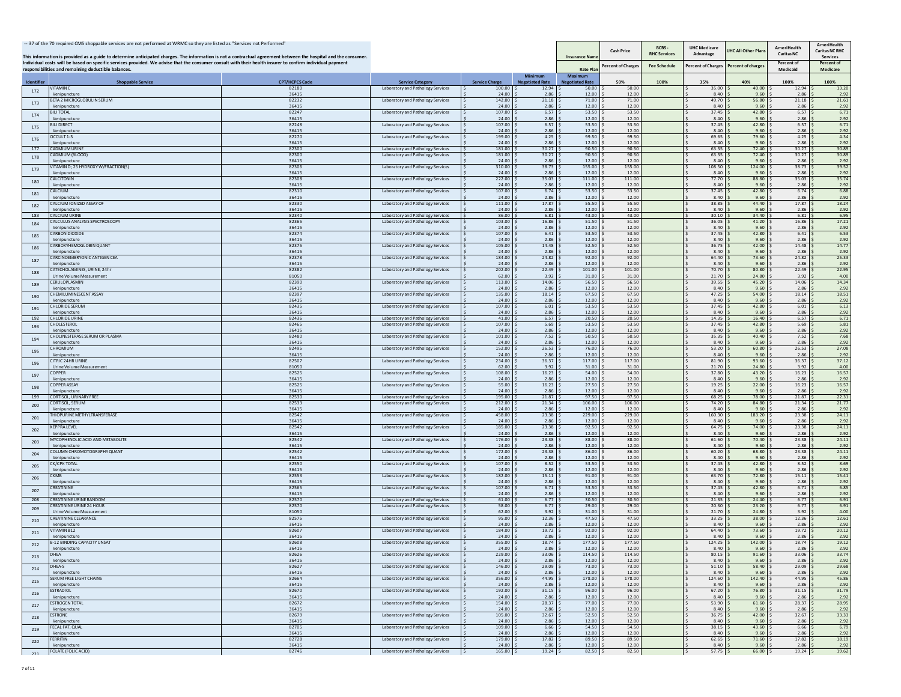|                   | -- 37 of the 70 required CMS shoppable services are not performed at WRMC so they are listed as "Services not Performed"<br>This information is provided as a guide to determine anticipated charges. The information is not a contractual agreement between the hospital and the consumer. |                       |                                                                        |                         |                                          | <b>Insurance Nam</b>              | <b>Cash Price</b>  | BCBS-<br><b>RHC Services</b> | <b>UHC Medicare</b><br>Advantage | JHC All Other Pla  | AmeriHealth<br><b>Caritas NC</b> | AmeriHealth<br><b>Caritas NC RHC</b><br>Services |
|-------------------|---------------------------------------------------------------------------------------------------------------------------------------------------------------------------------------------------------------------------------------------------------------------------------------------|-----------------------|------------------------------------------------------------------------|-------------------------|------------------------------------------|-----------------------------------|--------------------|------------------------------|----------------------------------|--------------------|----------------------------------|--------------------------------------------------|
|                   | Individual costs will be based on specific services provided. We advise that the consumer consult with their health insurer to confirm individual payment<br>responsibilities and remaining deductible balances.                                                                            |                       |                                                                        |                         |                                          | <b>Rate Pla</b>                   | Percent of Charges | <b>Fee Schedule</b>          | <b>Percent of Charges</b>        | Percent of charge: | Percent of<br>Medicaid           | Percent of<br>Medicare                           |
| <b>Identifier</b> | <b>Shoppable Service</b>                                                                                                                                                                                                                                                                    | <b>CPT/HCPCS Code</b> | <b>Service Category</b>                                                | <b>Service Charge</b>   | <b>Minimum</b><br><b>Negotiated Rate</b> | Maximum<br><b>Negotiated Rate</b> | 50%                | 100%                         | 35%                              | 40%                | 100%                             | 100%                                             |
| 172               | <b>ITAMIN C</b><br>Venipuncture                                                                                                                                                                                                                                                             | 82180<br>36415        | Laboratory and Pathology Services                                      | 100.00<br>24.00         | 12.94<br>2.86                            | 50.00<br>12.00                    | 50.00<br>12.00     |                              | 35.00<br>8.40                    | 40.00<br>9.60      | 12.94<br>2.86                    | 13.20<br>2.92                                    |
| 173               | BETA 2 MICROGLOBULIN SERUM<br>/enipuncture                                                                                                                                                                                                                                                  | 82232<br>36415        | Laboratory and Pathology Services                                      | 142.00<br>24.00         | 21.18<br>2.86                            | 71.00<br>12.00                    | 71.00<br>12.00     |                              | 49.70<br>8.40                    | 56.80<br>9.60      | 21.18<br>2.86                    | 21.61<br>2.92                                    |
| 174               | <b>BILI TOTAL</b>                                                                                                                                                                                                                                                                           | 82247                 | Laboratory and Pathology Services                                      | 107.00                  | 6.57                                     | 53.50                             | 53.50              |                              | 37.45                            | 42.80              | 6.57                             | 6.71                                             |
| 175               | /enipuncture<br><b>BILI DIRECT</b>                                                                                                                                                                                                                                                          | 36415<br>82248        | Laboratory and Pathology Services                                      | 24.00<br>107.00         | 2.86<br>6.57                             | 12.00<br>53.50                    | 12.00<br>53.50     |                              | 8.40<br>37.45                    | 9.60<br>42.80      | 2.86<br>6.57                     | 2.92<br>6.71                                     |
|                   | Venipuncture<br>CCULT 1-3                                                                                                                                                                                                                                                                   | 36415<br>82270        | Laboratory and Pathology Services                                      | 24.00<br>199.00         | 2.86<br>4.25                             | 12.00<br>99.50                    | 12.00<br>99.50     |                              | 8.40<br>69.65                    | 9.60<br>79.60      | 2.86<br>4.25                     | 2.92<br>4.34                                     |
| 176               | Venipuncture                                                                                                                                                                                                                                                                                | 36415                 |                                                                        | 24.00                   | 2.86                                     | 12.00                             | 12.00              |                              | 8.40                             | 9.60               | 2.86                             | 2.92                                             |
| 177<br>178        | <b>CADMIUM URINE</b><br>ADMIUM (BLOOD)                                                                                                                                                                                                                                                      | 82300<br>82300        | Laboratory and Pathology Services<br>Laboratory and Pathology Services | 181.00<br>181.00 \$     | 30.27<br>30.27                           | 90.50<br>90.50                    | 90.50<br>90.50     |                              | 63.35<br>63.35                   | 72.40<br>72.40     | 30.27<br>30.27                   | 30.89<br>30.89                                   |
|                   | Venipuncture<br>ITAMIN D: 25 HYDROXY W/FRACTION(S)                                                                                                                                                                                                                                          | 36415<br>82306        | Laboratory and Pathology Services                                      | 24.00<br>310.00         | 2.86<br>38.73                            | 12.00<br>155.00                   | 12.00<br>155.00    |                              | 8.40<br>108.50                   | 9.60<br>124.00     | 2.86<br>38.73                    | 2.92<br>39.52                                    |
| 179               | Venipuncture                                                                                                                                                                                                                                                                                | 36415                 |                                                                        | 24.00                   | 2.86                                     | 12.00                             | 12.00              |                              | 8.40                             | 9.60               | 2.86                             | 2.92                                             |
| 180               | CALCITONIN<br>Venipuncture                                                                                                                                                                                                                                                                  | 82308<br>36415        | Laboratory and Pathology Services                                      | 222.00<br>24.00         | 35.03<br>2.86                            | 111.00<br>12.00                   | 111.00<br>12.00    |                              | 77.70<br>8.40                    | 88.80<br>9.60      | 35.03<br>2.86                    | 35.74<br>2.92                                    |
| 181               | CALCIUM<br>Venipuncture                                                                                                                                                                                                                                                                     | 82310<br>36415        | Laboratory and Pathology Services                                      | 107.00<br>24.00         | 6.74<br>2.86                             | 53.50<br>12.00                    | 53.50<br>12.00     |                              | 37.45<br>8.40                    | 42.80<br>9.60      | 6.74<br>2.86                     | 6.88<br>2.92                                     |
| 182               | CALCIUM IONIZED ASSAY OF                                                                                                                                                                                                                                                                    | 82330                 | Laboratory and Pathology Services                                      | 111.00                  | 17.87                                    | 55.50                             | 55.50<br>12.00     |                              | 38.85<br>8.40                    | 44.40<br>9.60      | 17.87                            | 18.24                                            |
| 183               | Venipuncture<br><b>CALCIUM URINE</b>                                                                                                                                                                                                                                                        | 36415<br>82340        | Laboratory and Pathology Services                                      | 24.00<br>86.00          | 2.86<br>6.81                             | 12.00<br>43.00                    | 43.00              |                              | 30.10                            | 34.40              | 2.86<br>6.81                     | 2.92<br>6.95                                     |
| 184               | ALCULUS ANALYSIS SPECTROSCOPY<br>Venipuncture                                                                                                                                                                                                                                               | 82365<br>36415        | Laboratory and Pathology Services                                      | 103.00<br>$24.00$ :     | 16.86<br>2.86                            | 51.50<br>12.00                    | 51.50<br>12.00     |                              | 36.05<br>8.40                    | 41.20<br>9.60      | 16.86<br>2.86                    | 17.21<br>2.92                                    |
| 185               | <b>ARBON DIOXIDE</b><br>Venipuncture                                                                                                                                                                                                                                                        | 82374<br>36415        | Laboratory and Pathology Services                                      | 107.00<br>24.00         | 6.41<br>2.86                             | 53.50<br>12.00                    | 53.50<br>12.00     |                              | 37.45<br>8.40                    | 42.80<br>9.60      | 6.41<br>2.86                     | 6.53<br>2.92                                     |
| 186               | CARBOXYHEMOGLOBIN QUANT                                                                                                                                                                                                                                                                     | 82375                 | Laboratory and Pathology Services                                      | 105.00                  | 14.48                                    | 52.50                             | 52.50              |                              | 36.75                            | 42.00              | 14.48                            | 14.77                                            |
|                   | /enipuncture<br>CARCINOEMBRYONIC ANTIGEN CEA                                                                                                                                                                                                                                                | 36415<br>82378        | Laboratory and Pathology Services                                      | 24.00<br>184.00         | 2.86<br>24.82                            | 12.00<br>92.00                    | 12.00<br>92.00     |                              | 8.40<br>64.40                    | 9.60<br>73.60      | 2.86<br>24.82                    | 2.92<br>25.33                                    |
| 187               | Venipuncture<br>ATECHOLAMINES, URINE, 24hr                                                                                                                                                                                                                                                  | 36415<br>82382        | Laboratory and Pathology Services                                      | 24.00<br>202.00         | 2.86<br>22.49                            | 12.00<br>101.00                   | 12.00<br>101.00    |                              | 8.40<br>70.70                    | 9.60<br>80.80      | 2.86<br>22.49                    | 2.92<br>22.95                                    |
| 188               | Jrine Volume Measurement                                                                                                                                                                                                                                                                    | 81050                 |                                                                        | 62.00                   | 3.92                                     | 31.00                             | 31.00              |                              | 21.70                            | 24.80              | 3.92                             | 4.00                                             |
| 189               | ERULOPLASMIN<br>Venipuncture                                                                                                                                                                                                                                                                | 82390<br>36415        | Laboratory and Pathology Services                                      | 113.00<br>24.00         | 14.06<br>2.86                            | 56.50<br>12.00                    | 56.50<br>12.00     |                              | 39.55<br>8.40                    | 45.20<br>9.60      | 14.06<br>2.86                    | 14.34<br>2.92                                    |
| 190               | HEMILUMINESCENT ASSAY<br>Venipuncture                                                                                                                                                                                                                                                       | 82397<br>36415        | Laboratory and Pathology Services                                      | 135.00<br>24.00         | 18.14<br>2.86                            | 67.50<br>12.00                    | 67.50<br>12.00     |                              | 47.25<br>8.40                    | 54.00<br>9.60      | 18.14<br>2.86                    | 18.51<br>2.92                                    |
| 191               | <b>CHLORIDE SERUM</b>                                                                                                                                                                                                                                                                       | 82435                 | Laboratory and Pathology Services                                      | 107.00                  | 6.01                                     | 53.50                             | 53.50              |                              | 37.45                            | 42.80              | 6.01                             | 6.13                                             |
| 192               | Venipuncture<br><b>CHLORIDE URINE</b>                                                                                                                                                                                                                                                       | 36415<br>82436        | Laboratory and Pathology Services                                      | 24.00<br>41.00          | 2.86<br>6.57                             | 12.00<br>20.50                    | 12.00<br>20.50     |                              | 8.40<br>14.35                    | 9.60<br>16.40      | 2.86<br>6.57                     | 2.92<br>6.71                                     |
| 193               | HOLESTEROL<br>Venipuncture                                                                                                                                                                                                                                                                  | 82465<br>36415        | Laboratory and Pathology Services                                      | 107.00<br>24.00         | 5.69<br>2.86                             | 53.50<br>12.00                    | 53.50<br>12.00     |                              | 37.45<br>8.40                    | 42.80<br>9.60      | 5.69<br>2.86                     | 5.81<br>2.92                                     |
| 194               | HOLINESTERASE SERUM OR PLASMA                                                                                                                                                                                                                                                               | 82480                 | Laboratory and Pathology Services                                      | 101.00                  | 7.52                                     | 50.50                             | 50.50              |                              | 35.35                            | 40.40              | 7.52                             | 7.68                                             |
|                   | Venipuncture<br><b>HROMIUM</b>                                                                                                                                                                                                                                                              | 36415<br>82495        | Laboratory and Pathology Services                                      | 24.00<br>152.00         | 2.86<br>26.53                            | 12.00<br>76.00                    | 12.00<br>76.00     |                              | 8.40<br>53.20                    | 9.60<br>60.80      | 2.86<br>26.53                    | 2.92<br>27.08                                    |
| 195               | Venipuncture<br><b>ITRIC 24HR URINE</b>                                                                                                                                                                                                                                                     | 36415<br>82507        | Laboratory and Pathology Services                                      | 24.00<br>234.00         | 2.86<br>36.37                            | 12.00<br>117.00                   | 12.00<br>117.00    |                              | 8.40<br>81.90                    | 9.60<br>93.60      | 2.86<br>36.37                    | 2.92<br>37.12                                    |
| 196               | Urine Volume Measurement                                                                                                                                                                                                                                                                    | 81050                 |                                                                        | 62.00                   | 3.92                                     | 31.00                             | 31.00              |                              | 21.70                            | 24.80              | 3.92                             | 4.00                                             |
| 197               | OPPER.<br>/enipunctur                                                                                                                                                                                                                                                                       | 82525<br>36415        | Laboratory and Pathology Services                                      | 108.00<br>24.00         | 16.23<br>2.86                            | 54.00<br>12.00                    | 54.00<br>12.00     |                              | 37.80<br>8.40                    | 43.20<br>9.60      | 16.23<br>2.86                    | 16.57<br>2.92                                    |
| 198               | <b>COPPER ASSAY</b><br>Venipuncture                                                                                                                                                                                                                                                         | 82525<br>36415        | Laboratory and Pathology Services                                      | $55.00$ S<br>24.00      | 16.23<br>2.86                            | 27.50<br>12.00                    | 27.50<br>12.00     |                              | 19.25<br>8.40                    | 22.00<br>9.60      | 16.23<br>2.86                    | 16.57<br>2.92                                    |
| 199               | CORTISOL, URINARY FREE                                                                                                                                                                                                                                                                      | 82530                 | Laboratory and Pathology Services                                      | 195.00                  | 21.87                                    | 97.50                             | 97.50              |                              | 68.25                            | 78.00              | 21.87                            | 22.31                                            |
| 200               | <b>DRTISOL, SERUN</b><br>/enipuncture                                                                                                                                                                                                                                                       | 82533<br>36415        | Laboratory and Pathology Services                                      | 212.00<br>24.00         | 21.34<br>2.86                            | 106.00<br>12.00                   | 106.0<br>12.00     |                              | 74.20<br>8.40                    | 84.80<br>9.60      | 21.34<br>2.86                    | 21.77<br>2.92                                    |
| 201               | HIOPURINE METHYLTRANSFERASE<br>Venipuncture                                                                                                                                                                                                                                                 | 82542<br>36415        | Laboratory and Pathology Services                                      | 458.00<br>24.00         | 23.38<br>2.86                            | 229.00<br>12.00                   | 229.00<br>12.00    |                              | 160.30<br>8.40                   | 183.20<br>9.60     | 23.38<br>2.86                    | 24.11<br>2.92                                    |
| 202               | <b>EPPRA LEVEL</b>                                                                                                                                                                                                                                                                          | 82542                 | Laboratory and Pathology Services                                      | 185.00<br>24.00         | 23.38<br>2.86                            | 92.50                             | 92.50              |                              | 64.75                            | 74.00<br>9.60      | 23.38                            | 24.11                                            |
| 203               | Venipuncture<br>MYCOPHENOLIC ACID AND METABOLITE                                                                                                                                                                                                                                            | 36415<br>82542        | Laboratory and Pathology Services                                      | $176.00$ S              | 23.38                                    | 12.00<br>88.00                    | 12.00<br>88.00     |                              | 8.40<br>61.60                    | 70.40              | 2.86<br>23.38                    | 2.92<br>24.11                                    |
|                   | Venipuncture<br>COLUMN CHROMOTOGRAPHY QUANT                                                                                                                                                                                                                                                 | 36415<br>82542        | Laboratory and Pathology Services                                      | $24.00$ :<br>172.00     | 2.86<br>23.38                            | 12.00<br>86.00                    | 12.00<br>86.00     |                              | 8.40<br>60.20                    | 9.60<br>68.80      | 2.86<br>23.38                    | 2.92<br>24.11                                    |
| 204               | Venipuncture<br>CK/CPK TOTAL                                                                                                                                                                                                                                                                | 36415<br>82550        |                                                                        | 24.00<br>107.00 S       | 2.86<br>8.52                             | 12.00<br>53.50                    | 12.00<br>53.50     |                              | 8.40<br>37.45                    | 9.60<br>42.80      | 2.86<br>8.52                     | 2.92<br>8.69                                     |
| 205               | Venipuncture                                                                                                                                                                                                                                                                                | 36415                 | Laboratory and Pathology Services                                      | 24.00                   | 2.86                                     | 12.00                             | 12.00              |                              | 8.40                             | 9.60               | 2.86                             | 2.92                                             |
| 206               | <b>KMB</b><br>Venipuncture                                                                                                                                                                                                                                                                  | 82553<br>36415        | Laboratory and Pathology Services                                      | 182.00 \$<br>24.00      | $15.11$ :<br>2.86                        | 91.00<br>12.00                    | 91.00<br>12.00     |                              | 63.70<br>8.40                    | 72.80<br>9.60      | 15.11<br>2.86                    | 15.41<br>2.92                                    |
| 207               | <b>REATININE</b><br>Venipuncture                                                                                                                                                                                                                                                            | 82565<br>36415        | Laboratory and Pathology Services                                      | 107.00 \$<br>24.00      | $6.71$ :<br>2.86                         | 53.50<br>12.00                    | 53.50<br>12.00     |                              | 37.45<br>8.40                    | 42.80<br>9.60      | 6.71<br>2.86                     | 6.85<br>2.92                                     |
| 208               | CREATININE URINE RANDOM                                                                                                                                                                                                                                                                     | 82570                 | Laboratory and Pathology Services                                      | 61.00                   | 6.77                                     | 30.50                             | 30.50              |                              | 21.35                            | 24.40              | 6.77                             | 6.91                                             |
| 209               | <b>REATININE URINE 24 HOUR</b><br>Urine Volume Measuremen                                                                                                                                                                                                                                   | 82570<br>81050        | Laboratory and Pathology Services                                      | 58.00<br>62.00          | 6.77<br>3.92                             | 29.00<br>31.00                    | 29.00<br>31.00     |                              | 20.30<br>21.70                   | 23.20<br>24.80     | 6.77<br>3.92                     | 6.91<br>4.00                                     |
| 210               | <b>REATININE CLEARANCE</b><br>Venipuncture                                                                                                                                                                                                                                                  | 82575<br>36415        | Laboratory and Pathology Services                                      | $95.00$ S<br>$24.00$ \$ | 12.36<br>2.86                            | 47.50<br>12.00                    | 47.50<br>12.00     |                              | 33.25<br>8.40                    | 38.00<br>9.60      | 12.36<br>2.86                    | 12.61<br>2.92                                    |
| 211               | TAMIN B12                                                                                                                                                                                                                                                                                   | 82607                 | Laboratory and Pathology Services                                      | 184.00 S                | 19.72                                    | 92.00                             | 92.00              |                              | 64.40                            | 73.60              | 19.72                            | 20.12                                            |
| 212               | /enipuncture<br><b>B-12 BINDING CAPACITY UNSAT</b>                                                                                                                                                                                                                                          | 36415<br>82608        | Laboratory and Pathology Services                                      | 24.00<br>355.00 \$      | 2.86<br>18.74                            | 12.00<br>177.50                   | 12.00<br>177.50    |                              | 8.40<br>124.25                   | 9.60<br>142.00     | 2.86<br>18.74                    | 2.92<br>19.12                                    |
|                   | nipuncture<br>DHEA                                                                                                                                                                                                                                                                          | 36415<br>82626        | Laboratory and Pathology Services                                      | 24.00<br>229.00         | 2.8<br>33.06                             | 12.00<br>114.50                   | 12.00<br>114.50    |                              | 8.40<br>80.15                    | 9.6<br>91.60       | 2.86<br>33.06                    | 2.92<br>33.74                                    |
| 213               | Venipuncture                                                                                                                                                                                                                                                                                | 36415                 |                                                                        | 24.00                   | 2.86                                     | 12.00                             | 12.00              |                              | 8.40                             | 9.60               | 2.86                             | 2.92                                             |
| 214               | HEA-S<br>Venipuncture                                                                                                                                                                                                                                                                       | 82627<br>36415        | Laboratory and Pathology Services                                      | 146.00<br>24.00         | 29.09<br>2.86                            | 73.00<br>12.00                    | 73.00<br>12.00     |                              | 51.10<br>8.40                    | 58.40<br>9.60      | 29.09<br>2.86                    | 29.68<br>2.92                                    |
| 215               | SERUM FREE LIGHT CHAINS<br>Venipuncture                                                                                                                                                                                                                                                     | 82664<br>36415        | Laboratory and Pathology Services                                      | 356.00 \$<br>24.00      | 44.95<br>2.86                            | 178.00<br>12.00                   | 178.00<br>12.00    |                              | 124.60<br>8.40                   | 142.40<br>9.60     | 44.95<br>2.86                    | 45.86<br>2.92                                    |
| 216               | ESTRADIOL<br>Venipuncture                                                                                                                                                                                                                                                                   | 82670<br>36415        | Laboratory and Pathology Services                                      | 192.00<br>$24.00$ S     | 31.15<br>2.86                            | 96.00<br>12.00                    | 96.00<br>12.00     |                              | 67.20<br>8.40                    | 76.80<br>9.60      | 31.15<br>2.86                    | 31.79<br>2.92                                    |
| 217               | <b>STROGEN TOTAL</b>                                                                                                                                                                                                                                                                        | 82672                 | Laboratory and Pathology Services                                      | 154.00 \$               | 28.37                                    | 77.00                             | 77.00              |                              | 53.90                            | 61.60              | 28.37                            | 28.95                                            |
|                   | Venipuncture<br><b>STRONE</b>                                                                                                                                                                                                                                                               | 36415<br>82679        | Laboratory and Pathology Services                                      | 24.00<br>105.00         | 2.86<br>32.67                            | 12.00<br>52.50                    | 12.00<br>52.50     |                              | 8.40<br>36.75                    | 9.60<br>42.00      | 2.86<br>32.67                    | 2.92<br>33.33                                    |
| 218               | Venipuncture<br>FECAL FAT, QUAL                                                                                                                                                                                                                                                             | 36415<br>82705        | Laboratory and Pathology Services                                      | 24.00 S<br>$109.00$ \$  | 2.86<br>6.66                             | 12.00<br>54.50                    | 12.00<br>54.50     |                              | 8.40<br>38.15                    | 9.60<br>43.60      | 2.86<br>6.66                     | 2.92<br>6.79                                     |
| 219               | Venipuncture                                                                                                                                                                                                                                                                                | 36415                 |                                                                        | $24.00$ \$              | 2.86                                     | 12.00                             | 12.00              |                              | 8.40                             | 9.60               | 2.86                             | 2.92                                             |
| 220               | ERRITIN<br>Venipuncture                                                                                                                                                                                                                                                                     | 82728<br>36415        | Laboratory and Pathology Services                                      | 179.00 S<br>24.00       | $17.82$ \$<br>2.86                       | 89.50<br>12.00                    | 89.50<br>12.00     |                              | 62.65<br>8.40                    | 71.60<br>9.60      | 17.82<br>2.86                    | 18.19<br>2.92                                    |
| 221               | FOLATE (FOLIC ACID)                                                                                                                                                                                                                                                                         | 82746                 | Laboratory and Pathology Services                                      | 165.00 \$               | $19.24$ \$                               | $82.50$ \$                        | 82.50              |                              | $57.75$ \$<br>S.                 | 66.00 \$           | 19.24S                           | 19.62                                            |

7 of 11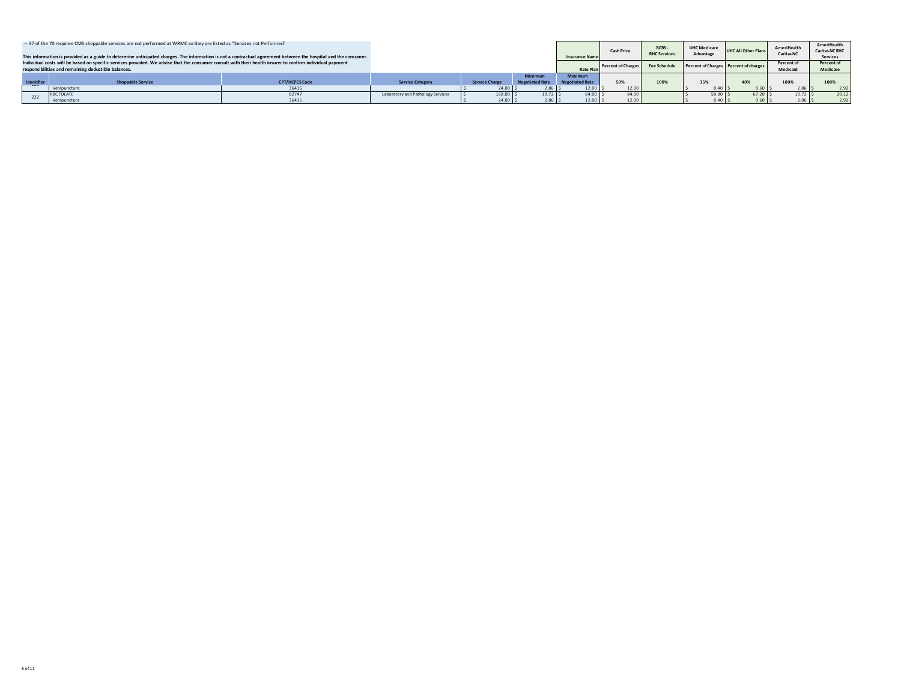|                                                                                                                                                                 | -- 37 of the 70 required CMS shoppable services are not performed at WRMC so they are listed as "Services not Performed" |                       |                                   |                       |                        |                        |                    |                     |                                       |                            |                   | AmeriHealth           |
|-----------------------------------------------------------------------------------------------------------------------------------------------------------------|--------------------------------------------------------------------------------------------------------------------------|-----------------------|-----------------------------------|-----------------------|------------------------|------------------------|--------------------|---------------------|---------------------------------------|----------------------------|-------------------|-----------------------|
|                                                                                                                                                                 |                                                                                                                          |                       |                                   |                       |                        |                        | <b>Cash Price</b>  | BCBS-               | UHC Medicare                          | <b>UHC All Other Plans</b> | AmeriHealth       | <b>Caritas NC RHC</b> |
|                                                                                                                                                                 |                                                                                                                          |                       |                                   |                       |                        |                        |                    | <b>RHC Services</b> | Advantage                             |                            | <b>Caritas NC</b> |                       |
| This information is provided as a guide to determine anticipated charges. The information is not a contractual agreement between the hospital and the consumer. |                                                                                                                          |                       |                                   |                       |                        | <b>Insurance Name</b>  |                    |                     |                                       |                            |                   | <b>Services</b>       |
| Individual costs will be based on specific services provided. We advise that the consumer consult with their health insurer to confirm individual payment       |                                                                                                                          |                       |                                   |                       |                        |                        |                    | <b>Fee Schedule</b> |                                       |                            | Percent of        | Percent of            |
| responsibilities and remaining deductible balances.                                                                                                             |                                                                                                                          |                       |                                   |                       |                        | <b>Rate Pla</b>        | Percent of Charges |                     | Percent of Charges Percent of charges |                            | Medicaid          | Medicare              |
|                                                                                                                                                                 |                                                                                                                          |                       |                                   |                       | <b>Minimum</b>         | Maximum                |                    |                     |                                       |                            |                   |                       |
|                                                                                                                                                                 |                                                                                                                          |                       |                                   |                       |                        |                        |                    |                     |                                       |                            |                   |                       |
| Identifier                                                                                                                                                      | <b>Shoppable Service</b>                                                                                                 | <b>CPT/HCPCS Code</b> | <b>Service Category</b>           | <b>Service Charge</b> | <b>Negotiated Rate</b> | <b>Negotiated Rate</b> | 50%                | 100%                | 35%                                   | 40%                        | 100%              | 100%                  |
|                                                                                                                                                                 | Venipuncture                                                                                                             | 36415                 |                                   | $24.00$ S             | $2.86$ S               | 12.00                  | 12.00              |                     | 8.40                                  | 9.60                       | 2.86              | 2.92                  |
| 222                                                                                                                                                             | <b>RBC FOLATE</b>                                                                                                        | 82747                 | Laboratory and Pathology Services | 168.00 S              | 19.72 S                | 84.00 :                | 84.00              |                     | 58.80 \$                              | 67.20                      | $19.72$ S         | 20.12                 |
|                                                                                                                                                                 | Venipuncture                                                                                                             | 36415                 |                                   | 24.00 S               | $2.86$ S               | 12.00                  | 12.00              |                     | 8.40                                  |                            | 2.86              | 2.92                  |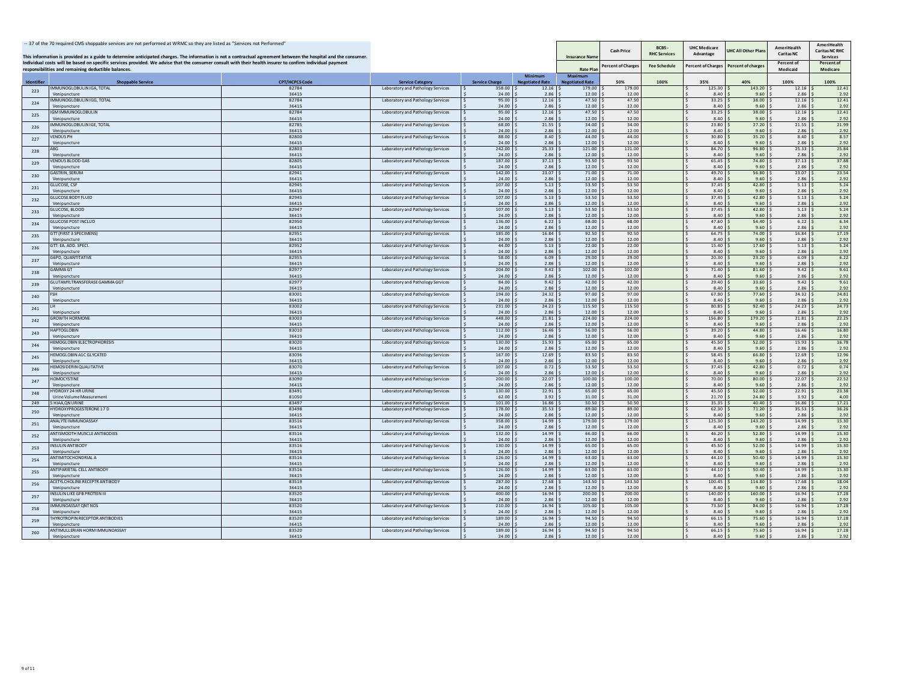| -- 37 of the 70 required CMS shoppable services are not performed at WRMC so they are listed as "Services not Performed"<br>This information is provided as a guide to determine anticipated charges. The information is not a contractual agreement between the hospital and the consumer. |                                                                                                                                                                                                                  |                       |                                                                        |                       |                                   | <b>Insurance Name</b>                    | <b>Cash Price</b>  | BCBS-<br><b>RHC Services</b> | <b>UHC Medicare</b><br>Advantage | JHC All Other Plan | <b>AmeriHealth</b><br><b>Caritas NC</b> | <b>AmeriHealth</b><br><b>Caritas NC RHC</b><br><b>Services</b> |
|---------------------------------------------------------------------------------------------------------------------------------------------------------------------------------------------------------------------------------------------------------------------------------------------|------------------------------------------------------------------------------------------------------------------------------------------------------------------------------------------------------------------|-----------------------|------------------------------------------------------------------------|-----------------------|-----------------------------------|------------------------------------------|--------------------|------------------------------|----------------------------------|--------------------|-----------------------------------------|----------------------------------------------------------------|
|                                                                                                                                                                                                                                                                                             | Individual costs will be based on specific services provided. We advise that the consumer consult with their health insurer to confirm individual payment<br>responsibilities and remaining deductible balances. |                       |                                                                        |                       |                                   | <b>Rate Plan</b>                         | Percent of Charge: | <b>Fee Schedule</b>          | <b>Percent of Charges</b>        | Percent of charge: | Percent of<br>Medicaid                  | Percent of<br>Medicare                                         |
| Identifier                                                                                                                                                                                                                                                                                  | <b>Shoppable Service</b>                                                                                                                                                                                         | <b>CPT/HCPCS Code</b> | <b>Service Category</b>                                                | <b>Service Charge</b> | Minimum<br><b>Negotiated Rate</b> | <b>Maximum</b><br><b>Negotiated Rate</b> | 50%                | 100%                         | 35%                              | 40%                | 100%                                    | 100%                                                           |
| 223                                                                                                                                                                                                                                                                                         | MMUNOGLOBULIN IGA, TOTAL<br>Venipuncture                                                                                                                                                                         | 82784<br>36415        | Laboratory and Pathology Services                                      | 358.00<br>24.00       | 12.16<br>2.86                     | 179.00<br>12.00                          | 179.00<br>12.00    |                              | 125.30<br>8.40                   | 143.20<br>9.60     | 12.16<br>2.86                           | 12.41<br>2.92                                                  |
| 224                                                                                                                                                                                                                                                                                         | <b>MMUNOGLOBULIN IGG, TOTAL</b>                                                                                                                                                                                  | 82784                 | Laboratory and Pathology Services                                      | 95.00<br>24.00        | 12.16                             | 47.50<br>12.00                           | 47.50<br>12.00     |                              | 33.25                            | 38.00<br>9.60      | 12.16                                   | 12.41                                                          |
| 225                                                                                                                                                                                                                                                                                         | Veninuncture<br><b>GMIMMUNOGLOBULIN</b>                                                                                                                                                                          | 36415<br>82784        | Laboratory and Pathology Services                                      | 95.00                 | 2.86<br>12.16                     | 47.50                                    | 47.50              |                              | 8.40<br>33.25                    | 38.00              | 2.86<br>12.16                           | 2.92<br>12.41                                                  |
|                                                                                                                                                                                                                                                                                             | Venipuncture<br>MMUNOGLOBULIN IGE, TOTAL                                                                                                                                                                         | 36415<br>82785        | Laboratory and Pathology Services                                      | 24.00<br>68.00        | 2.86<br>21.55                     | 12.00<br>34.00                           | 12.00<br>34.00     |                              | 8.40<br>23.80                    | 9.60<br>27.20      | 2.86<br>21.55                           | 2.92<br>21.99                                                  |
| 226                                                                                                                                                                                                                                                                                         | Venipuncture                                                                                                                                                                                                     | 36415                 |                                                                        | 24.00                 | 2.86                              | 12.00                                    | 12.00              |                              | 8.40                             | 9.60               | 2.86                                    | 2.92                                                           |
| 227                                                                                                                                                                                                                                                                                         | <b>ENOUS PH</b><br>Venipuncture                                                                                                                                                                                  | 82800<br>36415        | Laboratory and Pathology Services                                      | 88.00<br>24.00        | 8.40<br>2.86                      | 44.00<br>12.00                           | 44.00<br>12.00     |                              | 30.80<br>8.40                    | 35.20<br>9.60      | 8.40<br>2.86                            | 8.57<br>2.92                                                   |
| 228                                                                                                                                                                                                                                                                                         | Veninuncture                                                                                                                                                                                                     | 82803<br>36415        | Laboratory and Pathology Services                                      | 242.00<br>24.00       | 25.33<br>2.86                     | 121.00<br>12.00                          | 121.00<br>1200     |                              | 84.70<br>8.40                    | 96.80<br>9.60      | 25.33<br>2.86                           | 25.84<br>2.92                                                  |
| 229                                                                                                                                                                                                                                                                                         | <b>/ENOUS BLOOD GAS</b>                                                                                                                                                                                          | 82805                 | Laboratory and Pathology Services                                      | 187.00                | 37.13                             | 93.50                                    | 93.50              |                              | 65.45                            | 74.80              | 37.13                                   | 37.88                                                          |
|                                                                                                                                                                                                                                                                                             | Venipuncture<br><b>ASTRIN SERUM</b>                                                                                                                                                                              | 36415<br>82941        | Laboratory and Pathology Services                                      | 24.00<br>142.00       | 2.86<br>23.07                     | 12.00<br>71.00                           | 12.00<br>71.00     |                              | 8.40<br>49.70                    | 9.60<br>56.80      | 2.86<br>23.07                           | 2.92<br>23.54                                                  |
| 230                                                                                                                                                                                                                                                                                         | Venipuncture                                                                                                                                                                                                     | 36415                 |                                                                        | 24.00                 | 2.86                              | 12.00                                    | 12.00              |                              | 8.40                             | 9.60               | 2.86                                    | 2.92                                                           |
| 231                                                                                                                                                                                                                                                                                         | <b>SLUCOSE, CSF</b><br>Venipuncture                                                                                                                                                                              | 82945<br>36415        | Laboratory and Pathology Services                                      | 107.00<br>24.00       | 5.13<br>2.86                      | 53.50<br>12.00                           | 53.50<br>12.00     |                              | 37.45<br>8.40                    | 42.80<br>9.60      | 5.13<br>2.86                            | 5.24<br>2.92                                                   |
| 232                                                                                                                                                                                                                                                                                         | <b>SLUCOSE BODY FLUID</b><br>Veninuncture                                                                                                                                                                        | 82945<br>36415        | Laboratory and Pathology Services                                      | 107.00<br>24.00       | 5.13<br>2.86                      | 53.50<br>12.00                           | 53.50<br>12.00     |                              | 37.45<br>8.40                    | 42.80<br>9.60      | 5.13<br>2.86                            | 5.24<br>2.92                                                   |
| 233                                                                                                                                                                                                                                                                                         | GLUCOSE, BLOOD                                                                                                                                                                                                   | 82947                 | Laboratory and Pathology Services                                      | 107.00                | 5.13                              | 53.50                                    | 53.50              |                              | 37.45                            | 42.80              | 5.13                                    | 5.24                                                           |
|                                                                                                                                                                                                                                                                                             | Venipuncture<br>GLUCOSE POST INCLUD                                                                                                                                                                              | 36415<br>82950        | Laboratory and Pathology Services                                      | 24.00<br>136.00       | 2.86<br>6.22                      | 12.00<br>68.00                           | 12.00<br>68.00     |                              | 8.40<br>47.60                    | 9.60<br>54.40      | 2.86<br>6.22                            | 2.92<br>6.34                                                   |
| 234                                                                                                                                                                                                                                                                                         | Venipuncture<br><b>STT (FIRST 3 SPECIMENS)</b>                                                                                                                                                                   | 36415                 |                                                                        | 24.00                 | 2.86<br>16.84                     | 12.00                                    | 12.00              |                              | 8.40                             | 9.60<br>74.00      | 2.86                                    | 2.92                                                           |
| 235                                                                                                                                                                                                                                                                                         | Venipuncture                                                                                                                                                                                                     | 82951<br>36415        | Laboratory and Pathology Services                                      | 185.00<br>24.00       | 2.86                              | 92.50<br>12.00                           | 92.50<br>12.00     |                              | 64.75<br>8.40                    | 9.60               | 16.84<br>2.86                           | 17.19<br>2.92                                                  |
| 236                                                                                                                                                                                                                                                                                         | STT: EA. ADD. SPECI.<br>Veninuncture                                                                                                                                                                             | 82952<br>36415        | Laboratory and Pathology Services                                      | 44.00<br>24.00        | 5.13<br>2.86                      | 22.00<br>12.00                           | 22.00<br>12.00     |                              | 15.40<br>8.40                    | 17.60<br>9.60      | 5.13<br>2.86                            | 5.24<br>2.92                                                   |
| 237                                                                                                                                                                                                                                                                                         | G6PD, QUANTITATIVE                                                                                                                                                                                               | 82955                 | Laboratory and Pathology Services                                      | 58.00                 | 6.09                              | 29.00                                    | 29.00              |                              | 20.30                            | 23.20              | 6.09                                    | 6.22                                                           |
| 238                                                                                                                                                                                                                                                                                         | Venipuncture<br><b>SAMMA GT</b>                                                                                                                                                                                  | 36415<br>82977        | Laboratory and Pathology Services                                      | 24.00<br>204.00       | 2.86<br>9.42                      | 12.00<br>102.00                          | 12.00<br>102.00    |                              | 8.40<br>71.40                    | 9.60<br>81.60      | 2.86<br>9.42                            | 2.92<br>9.61                                                   |
|                                                                                                                                                                                                                                                                                             | Venipuncture<br><b>SLUTAMYLTRANSFERASE GAMMA GGT</b>                                                                                                                                                             | 36415<br>82977        | Laboratory and Pathology Services                                      | 24.00<br>84.00        | 2.86<br>9.42                      | 12.00<br>42.00                           | 12.00<br>42.00     |                              | 8.40<br>29.40                    | 9.60<br>33.60      | 2.86<br>9.42                            | 2.92<br>9.61                                                   |
| 239                                                                                                                                                                                                                                                                                         | Veninuncture                                                                                                                                                                                                     | 36415                 |                                                                        | 24.00                 | 2.86                              | 12.00                                    | 12.00              |                              | 8.40                             | 9.60               | 2.86                                    | 2.92                                                           |
| 240                                                                                                                                                                                                                                                                                         | Venipuncture                                                                                                                                                                                                     | 83001<br>36415        | Laboratory and Pathology Services                                      | 194.00<br>24.00       | 24.32<br>2.86                     | 97.00<br>12.00                           | 97.00<br>12.00     |                              | 67.90<br>8.40                    | 77.60<br>9.60      | 24.32<br>2.86                           | 24.81<br>2.92                                                  |
| 241                                                                                                                                                                                                                                                                                         | Venipuncture                                                                                                                                                                                                     | 83002<br>36415        | Laboratory and Pathology Services                                      | 231.00<br>24.00       | 24.23<br>2.86                     | 115.50<br>12.00                          | 115.50<br>12.00    |                              | 80.85<br>8.40                    | 92.40<br>9.60      | 24.23<br>2.86                           | 24.73<br>2.92                                                  |
| 242                                                                                                                                                                                                                                                                                         | <b><i>SROWTH HORMONE</i></b>                                                                                                                                                                                     | 83003                 | Laboratory and Pathology Services                                      | 448.00                | 21.81                             | 224.00                                   | 224.00             |                              | 156.80                           | 179.20             | 21.81                                   | 22.25                                                          |
|                                                                                                                                                                                                                                                                                             | Venipuncture<br><b>HAPTOGLOBIN</b>                                                                                                                                                                               | 36415<br>83010        | Laboratory and Pathology Services                                      | 24.00<br>112.00       | 2.86<br>16.46                     | 12.00<br>56.00                           | 12.00<br>56.00     |                              | 8.40<br>39.20                    | 9.60<br>44.80      | 2.86<br>16.46                           | 2.92<br>16.80                                                  |
| 243                                                                                                                                                                                                                                                                                         | Venipuncture                                                                                                                                                                                                     | 36415                 |                                                                        | 24.00                 | 2.86                              | 12.00                                    | 12.00              |                              | 8.40                             | 9.60               | 2.86                                    | 2.92                                                           |
| 244                                                                                                                                                                                                                                                                                         | <b>EMOGLOBIN ELECTROPHORESIS</b><br>Venipuncture                                                                                                                                                                 | 83020<br>36415        | Laboratory and Pathology Services                                      | 130.00<br>24.00       | 15.93<br>2.86                     | 65.00<br>12.00                           | 65.00<br>12.00     |                              | 45.50<br>8.40                    | 52.00<br>9.60      | 15.93<br>2.86                           | 16.78<br>2.92                                                  |
| 245                                                                                                                                                                                                                                                                                         | HEMOGLOBIN A1C GLYCATED<br>Venipuncture                                                                                                                                                                          | 83036<br>36415        | Laboratory and Pathology Services                                      | 167.00<br>24.00       | 12.69<br>2.86                     | 83.50<br>12.00                           | 83.50<br>12.00     |                              | 58.45<br>8.40                    | 66.80<br>9.60      | 12.69<br>2.86                           | 12.96<br>2.92                                                  |
| 246                                                                                                                                                                                                                                                                                         | <b>IEMOSIDERIN QUALITATIVE</b>                                                                                                                                                                                   | 83070                 | Laboratory and Pathology Services                                      | 107.00                | 0.72                              | 53.50                                    | 53.50              |                              | 37.45                            | 42.80              | 0.72                                    | 0.74                                                           |
|                                                                                                                                                                                                                                                                                             | Venipuncture<br><b>IOMOCYSTINE</b>                                                                                                                                                                               | 36415<br>83090        | Laboratory and Pathology Services                                      | 24.00<br>200.00       | 2.86<br>22.07                     | 12.00<br>100.00                          | 12.00<br>100.00    |                              | 8.40<br>70.00                    | 9.60<br>80.00      | 2.86<br>22.07                           | 2.92<br>22.52                                                  |
| 247                                                                                                                                                                                                                                                                                         | <i>leninuncture</i><br>YDROXY 24 HR URINE                                                                                                                                                                        | 36415<br>83491        | Laboratory and Pathology Services                                      | 24.00<br>130.00       | 2.86<br>22.91                     | 12.00<br>65.00                           | 12.00<br>65.00     |                              | 8.40<br>45.50                    | 9.60<br>52.00      | 2.86<br>22.91                           | 2.92<br>23.38                                                  |
| 248                                                                                                                                                                                                                                                                                         | Urine Volume Measurement                                                                                                                                                                                         | 81050                 |                                                                        | 62.00                 | 3.92                              | 31.00                                    | 31.00              |                              | 21.70                            | 24.80              | 3.92                                    | 4.00                                                           |
| 249                                                                                                                                                                                                                                                                                         | <b>HIAA.ON URINE</b><br>YDROXYPROGESTERONE 17 D                                                                                                                                                                  | 83497<br>83498        | Laboratory and Pathology Services<br>Laboratory and Pathology Services | 101.00<br>178.00      | 16.86<br>35.53                    | 50.50<br>89.00                           | 50.50<br>89.00     |                              | 35.35<br>62.30                   | 40.40<br>71.20     | 16.86<br>35.53                          | 17.21<br>36.26                                                 |
| 250                                                                                                                                                                                                                                                                                         | Veninuncture                                                                                                                                                                                                     | 36415                 |                                                                        | 24.00                 | 2.86                              | 12.00                                    | 12.00              |                              | 8.40                             | 9.60               | 2.86                                    | 2.92                                                           |
| 251                                                                                                                                                                                                                                                                                         | <b>INALYTE IMMUNOASSAY</b><br>Venipuncture                                                                                                                                                                       | 83516<br>36415        | Laboratory and Pathology Services                                      | 358.00<br>24.00       | 14.99<br>2.86                     | 179.00<br>12.00                          | 179.00<br>12.00    |                              | 125.30<br>8.40                   | 143.20<br>9.60     | 14.99<br>2.86                           | 15.30<br>2.92                                                  |
| 252                                                                                                                                                                                                                                                                                         | <b>INTISMOOTH MUSCLE ANTIBODIES</b><br>/enipuncture                                                                                                                                                              | 83516<br>36415        | Laboratory and Pathology Services                                      | 132.00<br>24.00       | 14.99<br>2.86                     | 66.00<br>12.00                           | 66.00<br>12.00     |                              | 46.20<br>8.40                    | 52.80<br>9.60      | 14.99<br>2.86                           | 15.30<br>2.92                                                  |
| 253                                                                                                                                                                                                                                                                                         | NSULIN ANTIBODY                                                                                                                                                                                                  | 83516                 | Laboratory and Pathology Services                                      | 130.00                | 14.99                             | 65.00                                    | 65.00              |                              | 45.50                            | 52.00              | 14.99                                   | 15.30                                                          |
| 254                                                                                                                                                                                                                                                                                         | Veninuncture<br><b>INTIMITOCHONDRIAL A</b>                                                                                                                                                                       | 36415<br>83516        | Laboratory and Pathology Services                                      | 24.00<br>126.00       | 2.86<br>14.99                     | 12.00<br>63.00                           | 12.00<br>63.00     |                              | 8.40<br>44.10                    | 9.60<br>50.40      | 2.86<br>14.99                           | 2.92<br>15.30                                                  |
|                                                                                                                                                                                                                                                                                             | Veninuncture                                                                                                                                                                                                     | 36415                 |                                                                        | 24.00                 | 2.86                              | 12.00                                    | 12.00              |                              | 8.40                             | 9.60               | 2.86                                    | 2.92                                                           |
| 255                                                                                                                                                                                                                                                                                         | INTIPARIETAL CELL ANTIBODY<br>Venipuncture                                                                                                                                                                       | 83516<br>36415        | Laboratory and Pathology Services                                      | 126.00<br>24.00       | 14.99<br>2.86                     | 63.00<br>12.00                           | 63.00<br>12.00     |                              | 44.10<br>8.40                    | 50.40<br>9.60      | 14.99<br>2.86                           | 15.30<br>2.92                                                  |
| 256                                                                                                                                                                                                                                                                                         | ACETYLCHOLINE RECEPTR ANTIBODY<br>Venipuncture                                                                                                                                                                   | 83519<br>36415        | Laboratory and Pathology Services                                      | 287.00<br>24.00       | 17.68<br>2.86                     | 143.50<br>12.00                          | 143.50<br>12.00    |                              | 100.45<br>8.40                   | 114.80<br>9.60     | 17.68<br>2.86                           | 18.04<br>2.92                                                  |
| 257                                                                                                                                                                                                                                                                                         | <b>NSULIN LIKE GFB PROTEIN III</b>                                                                                                                                                                               | 83520                 | Laboratory and Pathology Services                                      | 400.00                | 16.94                             | 200.00                                   | 200.00             |                              | 140.00                           | 160.00             | 16.94                                   | 17.28                                                          |
| 258                                                                                                                                                                                                                                                                                         | Venipuncture<br><b>MMUNOASSAY ONT NOS</b>                                                                                                                                                                        | 36415<br>83520        | Laboratory and Pathology Services                                      | 24.00<br>210.00       | 2.86<br>16.94                     | 12.00<br>105.00                          | 12.00<br>105.00    |                              | 8.40<br>73.50                    | 9.60<br>84.00      | 2.86<br>16.94                           | 2.92<br>17.28                                                  |
|                                                                                                                                                                                                                                                                                             | /eninuncture<br>HYROTROPIN RECEPTOR ANTIBODIES                                                                                                                                                                   | 36415<br>83520        | Laboratory and Pathology Services                                      | 24.00<br>189.00       | 2.86<br>16.94                     | 12.00<br>94.50                           | 12.00<br>94.50     |                              | 8.40<br>66.15                    | 9.60<br>75.60      | 2.86<br>16.94                           | 2.92<br>17.28                                                  |
| 259                                                                                                                                                                                                                                                                                         | Veninuncture                                                                                                                                                                                                     | 36415                 |                                                                        | 24.00                 | 2.86                              | 12.00                                    | 12.00              |                              | 8.40                             | 9.60               | 2.86                                    | 2.92                                                           |
| 260                                                                                                                                                                                                                                                                                         | INTIMULLERIAN HORM IMMUNOASSAY<br>Venipuncture                                                                                                                                                                   | 83520<br>36415        | Laboratory and Pathology Services                                      | 189.00<br>24.00       | 16.94<br>2.86                     | 94.50<br>12.00                           | 94.50<br>12.00     |                              | 66.15<br>8.40                    | 75.60<br>9.60      | 16.94<br>2.86                           | 17.28<br>2.92                                                  |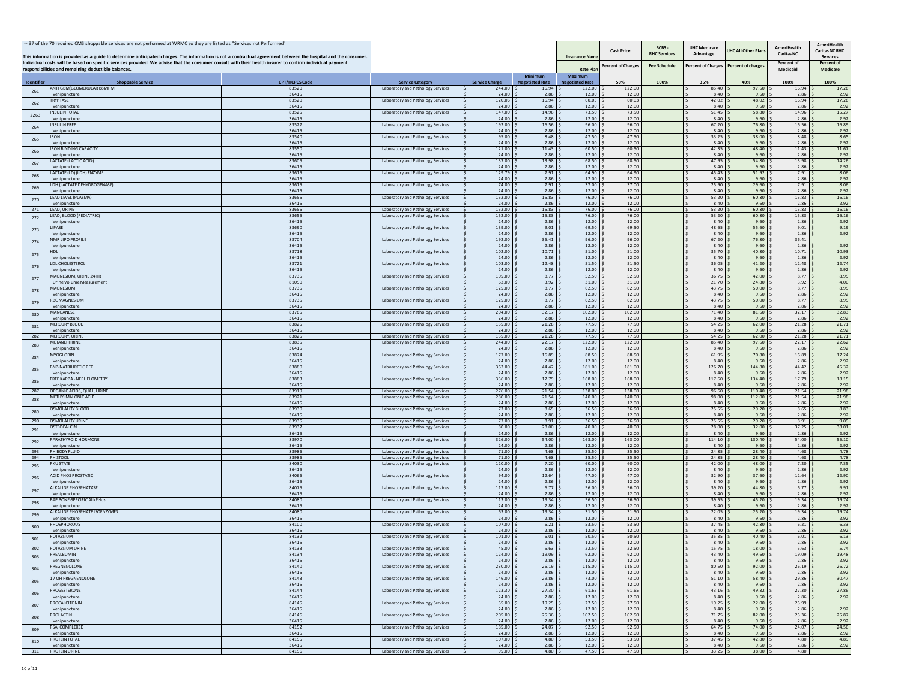|            | -- 37 of the 70 required CMS shoppable services are not performed at WRMC so they are listed as "Services not Performed"<br>This information is provided as a guide to determine anticipated charges. The information is not a contractual agreement between the hospital and the consumer. |                       |                                                                        |                       |                                  | Insurance Nam                     | <b>Cash Price</b>  | BCBS-<br><b>RHC Services</b> | <b>UHC Medicare</b><br>Advantage | <b>JHC All Other Plan</b> | <b>AmeriHealth</b><br><b>Caritas NC</b> | AmeriHealth<br><b>Caritas NC RHC</b><br><b>Services</b> |
|------------|---------------------------------------------------------------------------------------------------------------------------------------------------------------------------------------------------------------------------------------------------------------------------------------------|-----------------------|------------------------------------------------------------------------|-----------------------|----------------------------------|-----------------------------------|--------------------|------------------------------|----------------------------------|---------------------------|-----------------------------------------|---------------------------------------------------------|
|            | Individual costs will be based on specific services provided. We advise that the consumer consult with their health insurer to confirm individual payment<br>responsibilities and remaining deductible balances.                                                                            |                       |                                                                        |                       |                                  | <b>Rate Pla</b>                   | Percent of Charges | <b>Fee Schedule</b>          | <b>Percent of Charges</b>        | Percent of charge         | Percent of<br>Medicaid                  | Percent of<br>Medicare                                  |
| Identifie  | <b>Shoppable Service</b>                                                                                                                                                                                                                                                                    | <b>CPT/HCPCS Code</b> | <b>Service Category</b>                                                | <b>Service Charge</b> | <b>Minimum</b><br>egotiated Rate | Maximum<br><b>Negotiated Rate</b> | 50%                | 100%                         | 35%                              | 40%                       | 100%                                    | 100%                                                    |
| 261        | ANTI GBM(GLOMERULAR BSMT M                                                                                                                                                                                                                                                                  | 83520                 | Laboratory and Pathology Services                                      | 244.00                | 16.94<br>2.86                    | 122.00                            | 122.00             |                              | 85.40                            | 97.60                     | 16.94<br>2.86                           | 17.28                                                   |
| 262        | Venipuncture<br><b>TRYPTASE</b>                                                                                                                                                                                                                                                             | 36415<br>83520        | Laboratory and Pathology Services                                      | 24.00<br>120.06       | 16.94                            | 12.00<br>60.03                    | 12.00<br>60.03     |                              | 8.40<br>42.02                    | 9.60<br>48.02             | 16.94                                   | 2.92<br>17.28                                           |
|            | Venipuncture<br><b>NSULIN TOTAL</b>                                                                                                                                                                                                                                                         | 36415<br>83525        | Laboratory and Pathology Services                                      | 24.00<br>147.00       | 2.86<br>14.96                    | 12.00<br>73.50                    | 12.00<br>73.50     |                              | 8.40<br>51.45                    | 9.60<br>58.80             | 2.86<br>14.96                           | 2.92<br>15.27                                           |
| 2263       | /enipuncture                                                                                                                                                                                                                                                                                | 36415                 |                                                                        | 24.00                 | 2.86                             | 12.00                             | 12.00              |                              | 8.40                             | 9.60                      | 2.86                                    | 2.92                                                    |
| 264        | <b>NSULIN FREE</b><br>Venipuncture                                                                                                                                                                                                                                                          | 83527<br>36415        | Laboratory and Pathology Services                                      | 192.00<br>24.00       | 16.56<br>2.86                    | 96.00<br>12.00                    | 96.00<br>12.00     |                              | 67.20<br>8.40                    | 76.80<br>9.60             | 16.56<br>2.86                           | 16.89<br>2.92                                           |
| 265        | RON<br>Venipuncture                                                                                                                                                                                                                                                                         | 83540<br>36415        | Laboratory and Pathology Services                                      | 95.00<br>24.00        | 8.48<br>2.86                     | 47.50<br>12.00                    | 47.5<br>12.00      |                              | 33.25<br>8.40                    | 38.00<br>9.60             | 8.48<br>2.86                            | 8.65<br>2.92                                            |
| 266        | RON BINDING CAPACITY                                                                                                                                                                                                                                                                        | 83550                 | Laboratory and Pathology Services                                      | 121.00                | 11.43                            | 60.50                             | 60.50              |                              | 42.35                            | 48.40                     | 11.43                                   | 11.67                                                   |
| 267        | Venipuncture<br><b>ACTATE (LACTIC ACID)</b>                                                                                                                                                                                                                                                 | 36415<br>83605        | Laboratory and Pathology Services                                      | 24.00<br>137.00       | 2.86<br>13.98                    | 12.00<br>68.50                    | 12.00<br>68.50     |                              | 8.40<br>47.95                    | 9.60<br>54.80             | 2.86<br>13.98                           | 2.92<br>14.26                                           |
|            | /eninuncture<br>ACTATE (LD) (LDH) ENZYME                                                                                                                                                                                                                                                    | 36415<br>83615        |                                                                        | 24.00<br>129.79       | 2.86<br>7.91                     | 12.00<br>64.90                    | 12.00<br>64.90     |                              | 8.40<br>45.43                    | 9.60<br>51.92             | 2.86<br>7.91                            | 2.92<br>8.06                                            |
| 268        | Venipuncture                                                                                                                                                                                                                                                                                | 36415                 | Laboratory and Pathology Services                                      | 24.00                 | 2.86                             | 12.00                             | 12.00              |                              | 8.40                             | 9.60                      | 2.86                                    | 2.92                                                    |
| 269        | DH (LACTATE DEHYDROGENASE)<br>Venipuncture                                                                                                                                                                                                                                                  | 83615<br>36415        | Laboratory and Pathology Services                                      | 74.00<br>24.00        | 7.91<br>2.86                     | 37.00<br>12.00                    | 37.00<br>12.00     |                              | 25.90<br>8.40                    | 29.60<br>9.60             | 7.91<br>2.86                            | 8.06<br>2.92                                            |
| 270        | <b>EAD LEVEL (PLASMA)</b>                                                                                                                                                                                                                                                                   | 83655                 | Laboratory and Pathology Services                                      | 152.00                | 15.83<br>2.86                    | 76.00                             | 76.00<br>12.00     |                              | 53.20<br>8.40                    | 60.80                     | 15.83                                   | 16.16                                                   |
| 271        | Venipuncture<br>EAD, URINE                                                                                                                                                                                                                                                                  | 36415<br>83655        | Laboratory and Pathology Services                                      | 24.00<br>152.00       | 15.83                            | 12.00<br>76.00                    | 76.00              |                              | 53.20                            | 9.60<br>60.80             | 2.86<br>15.83                           | 2.92<br>16.16                                           |
| 272        | EAD, BLOOD (PEDIATRIC)<br>/enipuncture                                                                                                                                                                                                                                                      | 83655<br>36415        | Laboratory and Pathology Services                                      | 152.00<br>24.00       | 15.83<br>2.86                    | 76.00<br>12.00                    | 76.00<br>12.00     |                              | 53.20<br>8.40                    | 60.80<br>9.60             | 15.83<br>2.86                           | 16.16<br>2.92                                           |
| 273        | <b>IPASE</b>                                                                                                                                                                                                                                                                                | 83690                 | Laboratory and Pathology Services                                      | 139.00                | 9.01                             | 69.50                             | 69.50              |                              | 48.65                            | 55.60                     | 9.01                                    | 9.19                                                    |
| 274        | Venipuncture<br><b>IMR LIPO PROFILE</b>                                                                                                                                                                                                                                                     | 36415<br>83704        | Laboratory and Pathology Services                                      | 24.00<br>192.00       | 2.86<br>36.41                    | 12.00<br>96.00                    | 12.00<br>96.00     |                              | 8.40<br>67.20                    | 9.60<br>76.80             | 2.86<br>36.41                           | 2.92                                                    |
|            | Venipuncture<br><b>DL</b>                                                                                                                                                                                                                                                                   | 36415<br>83718        | Laboratory and Pathology Services                                      | 24.00<br>102.00       | 2.86<br>10.71                    | 12.00<br>51.00                    | 12.00<br>51.00     |                              | 8.40<br>35.70                    | 9.60<br>40.80             | 2.86<br>10.71                           | 2.92<br>10.93                                           |
| 275        | Venipuncture                                                                                                                                                                                                                                                                                | 36415                 |                                                                        | 24.00                 | 2.86                             | 12.00                             | 12.00              |                              | 8.40                             | 9.60                      | 2.86                                    | 2.92                                                    |
| 276        | DL CHOLESTEROL<br>Veninuncture                                                                                                                                                                                                                                                              | 83721<br>36415        | Laboratory and Pathology Services                                      | 103.00<br>24.00       | 12.48<br>2.86                    | 51.50<br>12.00                    | 51.50<br>12.00     |                              | 36.05<br>8.40                    | 41.20<br>9.60             | 12.48<br>2.86                           | 12.74<br>2.92                                           |
| 277        | MAGNESIUM, URINE 24HR<br>Urine Volume Measurement                                                                                                                                                                                                                                           | 83735<br>81050        | Laboratory and Pathology Services                                      | 105.00<br>62.00       | 8.77<br>3.92                     | 52.50<br>31.00                    | 52.50<br>31.00     |                              | 36.75<br>21.70                   | 42.00<br>24.80            | 8.77<br>3.92                            | 8.95                                                    |
| 278        | MAGNESIUM                                                                                                                                                                                                                                                                                   | 83735                 | Laboratory and Pathology Services                                      | 125.00                | 8.77                             | 62.50                             | 62.50              |                              | 43.75                            | 50.00                     | 8.77                                    | 4.00<br>8.95                                            |
|            | Venipuncture<br><b>RBC MAGNESIUN</b>                                                                                                                                                                                                                                                        | 36415<br>83735        | Laboratory and Pathology Services                                      | 24.00<br>125.00       | 2.86<br>8.77                     | 12.00<br>62.50                    | 12.00<br>62.50     |                              | 8.40<br>43.75                    | 9.60<br>50.00             | 2.86<br>8.77                            | 2.92<br>8.95                                            |
| 279        | Venipuncture                                                                                                                                                                                                                                                                                | 36415                 |                                                                        | 24.00                 | 2.86                             | 12.00                             | 12.00              |                              | 8.40                             | 9.60                      | 2.86                                    | 2.92                                                    |
| 280        | MANGANESE<br>Venipuncture                                                                                                                                                                                                                                                                   | 83785<br>36415        | Laboratory and Pathology Services                                      | 204.00<br>24.00       | 32.17<br>2.86                    | 102.00<br>12.00                   | 102.00<br>12.00    |                              | 71.40<br>8.40                    | 81.60<br>9.60             | 32.17<br>2.86                           | 32.83<br>2.92                                           |
| 281        | MERCURY BLOOD<br>Venipuncture                                                                                                                                                                                                                                                               | 83825<br>36415        | Laboratory and Pathology Services                                      | 155.00<br>24.00       | 21.28<br>2.86                    | 77.50<br>12.00                    | 77.50<br>12.00     |                              | 54.25<br>8.40                    | 62.00<br>9.60             | 21.28<br>2.86                           | 21.71<br>2.92                                           |
| 282        | MERCURY, URINE                                                                                                                                                                                                                                                                              | 83825                 | Laboratory and Pathology Services                                      | 155.00                | 21.28                            | 77.50                             | 77.50              |                              | 54.25                            | 62.00                     | 21.28                                   | 21.71                                                   |
| 283        | METANEPHRINE<br>Venipuncture                                                                                                                                                                                                                                                                | 83835<br>36415        | Laboratory and Pathology Services                                      | 244.00<br>24.00       | 22.17<br>2.86                    | 122.00<br>12.00                   | 122.00<br>12.00    |                              | 85.40<br>8.40                    | 97.60<br>9.60             | 22.17<br>2.86                           | 22.62<br>2.92                                           |
| 284        | MYOGLOBIN<br>Venipuncture                                                                                                                                                                                                                                                                   | 83874<br>36415        | Laboratory and Pathology Services                                      | 177.00<br>24.00       | 16.89<br>2.86                    | 88.50<br>12.00                    | 88.50<br>12.00     |                              | 61.95<br>8.40                    | 70.80<br>9.60             | 16.89<br>2.86                           | 17.24<br>2.92                                           |
| 285        | <b>SNP-NATRIURETIC PEP</b>                                                                                                                                                                                                                                                                  | 83880                 | Laboratory and Pathology Services                                      | 362.00                | 44.42                            | 181.00                            | 181.00             |                              | 126.70                           | 144.80                    | 44.42                                   | 45.32                                                   |
|            | /enipuncture<br>FREE KAPPA - NEPHELOMETRY                                                                                                                                                                                                                                                   | 36415<br>83883        | Laboratory and Pathology Services                                      | 24.00<br>336.00       | 2.86<br>17.79                    | 12.00<br>168.00                   | 12.00<br>168.00    |                              | 8.40<br>117.60                   | 9.60<br>134.40            | 2.86<br>17.79                           | 2.92<br>18.15                                           |
| 286<br>287 | /enipuncture<br>ORGANIC ACIDS, QUAL, URINE                                                                                                                                                                                                                                                  | 36415<br>83919        |                                                                        | 24.00<br>276.00       | 2.86<br>21.54                    | 12.00<br>138.00                   | 12.00<br>138.00    |                              | 8.40<br>96.60<br>I S             | 9.60<br>110.40            | 2.86<br>21.54                           | 2.92<br>21.98                                           |
| 288        | <b>METHYLMALONIC ACID</b>                                                                                                                                                                                                                                                                   | 83921                 | Laboratory and Pathology Services<br>Laboratory and Pathology Services | 280.00                | 21.54                            | 140.00                            | 140.00             |                              | 98.00                            | 112.00                    | 21.54                                   | 21.98                                                   |
|            | Venipuncture<br>OSMOLALITY BLOOD                                                                                                                                                                                                                                                            | 36415<br>83930        | Laboratory and Pathology Services                                      | 24.00<br>73.00        | 2.86<br>8.65                     | 12.00<br>36.50                    | 12.00<br>36.50     |                              | 8.40<br>25.55                    | 9.60<br>29.20             | 2.86<br>8.65                            | 2.92<br>8.83                                            |
| 289        | Venipuncture                                                                                                                                                                                                                                                                                | 36415                 |                                                                        | 24.00                 | 2.86                             | 12.00                             | 12.00              |                              | 8.40                             | 9.60                      | 2.86                                    | 2.92                                                    |
| 290<br>291 | <b>OSMOLALITY URINE</b><br><b>STEOCALCIN</b>                                                                                                                                                                                                                                                | 83935<br>83937        | Laboratory and Pathology Services<br>Laboratory and Pathology Services | 73.00<br>80.00        | 8.91<br>28.00                    | $36.50$ $\leq$<br>40.00           | 36.50<br>40.00     |                              | 25.55<br>28.00                   | 29.20<br>32.00            | 8.91<br>37.25                           | 9.09<br>38.01                                           |
|            | Venipuncture<br>ARATHYROID HORMONE                                                                                                                                                                                                                                                          | 36415<br>83970        | Laboratory and Pathology Services                                      | 24.00<br>326.00       | 2.86<br>54.00                    | 12.00<br>163.00                   | 12.00<br>163.00    |                              | 8.40<br>114.10                   | 9.60<br>130.40            | 2.86<br>54.00                           | 2.92<br>55.10                                           |
| 292        | Venipuncture                                                                                                                                                                                                                                                                                | 36415                 |                                                                        | 24.00                 | 2.86                             | 12.00                             | 12.00              |                              | 8.40                             | 9.60                      | 2.86                                    | 2.92                                                    |
| 293<br>294 | H BODY FLUID<br><b>IOOT? HS</b>                                                                                                                                                                                                                                                             | 83986<br>83986        | Laboratory and Pathology Services<br>Laboratory and Pathology Services | 71.00<br>71.00        | 4.68<br>4.68                     | 35.50<br>35.50                    | 35.50<br>35.50     |                              | 24.85<br>24.85                   | 28.40<br>28.40            | 4.68<br>4.68                            | 4.78<br>4.78                                            |
| 295        | KU STATE<br>Venipuncture                                                                                                                                                                                                                                                                    | 84030<br>36415        | Laboratory and Pathology Services                                      | 120.00<br>24.00       | 7.20<br>2.86                     | 60.00<br>12.00                    | 60.00<br>12.00     |                              | 42.00<br>8.40                    | 48.00<br>9.60             | 7.20<br>2.86                            | 7.35<br>2.92                                            |
| 296        | <b>ACID PHOS PROSTATIC</b>                                                                                                                                                                                                                                                                  | 84066                 | Laboratory and Pathology Services                                      | 94.00                 | 12.64                            | 47.00                             | 47.00              |                              | 32.90                            | 37.60                     | 12.64                                   | 12.90                                                   |
| 297        | Venipuncture<br>ALKALINE PHOSPHATASE                                                                                                                                                                                                                                                        | 36415<br>84075        | Laboratory and Pathology Services                                      | 24.00<br>112.00       | 2.86<br>6.77                     | 12.00<br>56.00                    | 12.00<br>56.00     |                              | 8.40<br>39.20                    | 9.60<br>44.80             | 2.86<br>6.77                            | 2.92<br>6.91                                            |
|            | Venipuncture<br>3AP BONE-SPECIFIC ALkPHos                                                                                                                                                                                                                                                   | 36415<br>84080        | Laboratory and Pathology Services                                      | 24.00<br>113.00       | 2.86<br>19.34                    | 12.00<br>56.50                    | 12.00<br>56.50     |                              | 8.40<br>39.55                    | 9.60<br>45.20             | 2.86<br>19.34                           | 2.92<br>19.74                                           |
| 298        | Venipuncture                                                                                                                                                                                                                                                                                | 36415                 |                                                                        | 24.00                 | 2.86                             | 12.00                             | 12.00              |                              | 8.40                             | 9.60                      | 2.86                                    | 2.92                                                    |
| 299        | ALKALINE PHOSPHATE ISOENZYMES<br>Venipuncture                                                                                                                                                                                                                                               | 84080<br>36415        | Laboratory and Pathology Services                                      | 63.00<br>24.00        | 19.34<br>2.86                    | 31.50<br>12.00                    | 31.50<br>12.00     |                              | 22.05<br>8.40                    | 25.20<br>9.60             | 19.34<br>2.86                           | 19.74<br>2.92                                           |
| 300        | <b>HOSPHOROUS</b><br>/enipuncture                                                                                                                                                                                                                                                           | 84100<br>36415        | Laboratory and Pathology Services                                      | 107.00<br>24.00       | 6.21<br>2.86                     | 53.50<br>12.00                    | 53.50<br>12.00     |                              | 37.45<br>8.40                    | 42.80<br>9.60             | 6.21<br>2.86                            | 6.33<br>2.92                                            |
| 301        | <b>POTASSIUM</b>                                                                                                                                                                                                                                                                            | 84132                 | Laboratory and Pathology Services                                      | 101.00                | 6.01                             | 50.50                             | 50.50              |                              | 35.35                            | 40.40                     | 6.01                                    | 6.13                                                    |
| 302        | Venipuncture<br><b>POTASSIUM URINE</b>                                                                                                                                                                                                                                                      | 36415<br>84133        | Laboratory and Pathology Services                                      | 24.00<br>45.00        | 2.86<br>5.63                     | 12.00<br>22.50                    | 12.00<br>22.50     |                              | 8.40<br>15.75                    | 9.60<br>18.00             | 2.86<br>5.63                            | 2.92<br>5.74                                            |
| 303        | <b>REALBUMIN</b>                                                                                                                                                                                                                                                                            | 84134                 | Laboratory and Pathology Services                                      | 124.00                | 19.09                            | 62.00                             | 62.00              |                              | 43.40                            | 49.60                     | 19.09                                   | 19.48                                                   |
| 304        | Venipuncture<br>PREGNENOLONE                                                                                                                                                                                                                                                                | 36415<br>84140        | Laboratory and Pathology Services                                      | 24.00<br>230.00       | 2.86<br>26.19                    | 12.00<br>115.00                   | 12.00<br>115.00    |                              | 8.40<br>80.50                    | 9.60<br>92.00             | 2.86<br>26.19                           | 2.92<br>26.72                                           |
|            | Venipuncture<br>17 OH PREGNENOLONE                                                                                                                                                                                                                                                          | 36415<br>84143        | Laboratory and Pathology Services                                      | 24.00<br>146.00       | 2.86<br>$29.86$ \$               | 12.00<br>73.00                    | 12.00<br>73.00     |                              | 8.40<br>51.10                    | 9.60<br>58.40             | 2.86<br>29.86                           | 2.92<br>30.47                                           |
| 305        | Venipuncture                                                                                                                                                                                                                                                                                | 36415                 |                                                                        | 24.00                 | 2.86                             | 12.00                             | 12.00              |                              | 8.40                             | 9.60                      | 2.86                                    | 2.92                                                    |
| 306        | <b>ROGESTERONE</b><br>Venipuncture                                                                                                                                                                                                                                                          | 84144<br>36415        | Laboratory and Pathology Services                                      | 123.30<br>24.00       | 27.30<br>2.86                    | 61.65<br>12.00                    | 61.65<br>12.00     |                              | 43.16<br>8.40                    | 49.32<br>9.60             | 27.30<br>2.86                           | 27.86<br>2.92                                           |
| 307        | <b>ROCALCITONIN</b><br>Venipuncture                                                                                                                                                                                                                                                         | 84145<br>36415        | Laboratory and Pathology Services                                      | 55.00<br>24.00        | 19.25<br>2.86                    | 27.50<br>12.00                    | 27.50<br>12.00     |                              | 19.25<br>8.40                    | 22.00<br>9.60             | 25.99<br>2.86                           | 2.92                                                    |
| 308        | <b>ROLACTIN</b>                                                                                                                                                                                                                                                                             | 84146                 | Laboratory and Pathology Services                                      | 205.00                | 25.36                            | 102.50                            | 102.50             |                              | 71.75                            | 82.00                     | 25.36                                   | 25.87                                                   |
| 309        | Venipuncture<br>PSA, COMPLEXED                                                                                                                                                                                                                                                              | 36415<br>84152        | Laboratory and Pathology Services                                      | 24.00<br>185.00       | 2.86<br>24.07                    | 12.00<br>92.50                    | 12.00<br>92.50     |                              | 8.40<br>64.75                    | 9.60<br>74.00             | 2.86<br>24.07                           | 2.92<br>24.56                                           |
|            | Venipuncture<br><b>ROTEIN TOTAL</b>                                                                                                                                                                                                                                                         | 36415<br>84155        | Laboratory and Pathology Services                                      | 24.00<br>107.00       | 2.86<br>4.80                     | 12.00<br>53.50                    | 12.00<br>53.50     |                              | 8.40<br>37.45                    | 9.60<br>42.80             | 2.86<br>4.80                            | 2.92<br>4.89                                            |
| 310        | Venipuncture                                                                                                                                                                                                                                                                                | 36415                 |                                                                        | 24.00                 | 2.86                             | 12.00                             | 12.00              |                              | 8.40                             | 9.60                      | 2.86                                    | 2.92                                                    |
| 311        | PROTEIN URINE                                                                                                                                                                                                                                                                               | 84156                 | Laboratory and Pathology Services                                      | $95.00$ \$            | 4.80S                            | $47.50$ \$                        | 47.50              |                              | $33.25$ \$                       | 38.00 \$                  | 4.80                                    |                                                         |